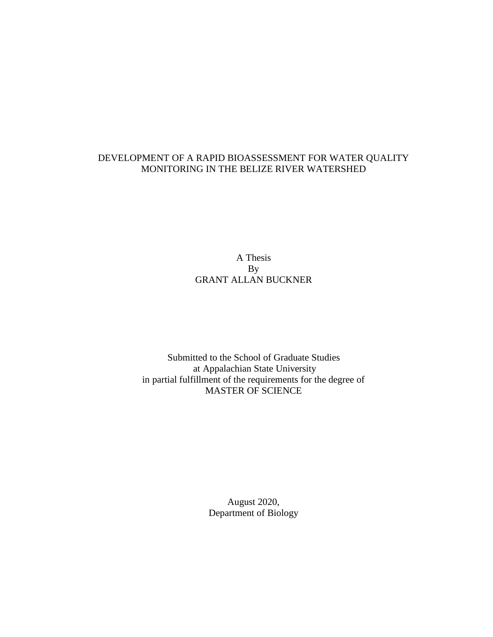# DEVELOPMENT OF A RAPID BIOASSESSMENT FOR WATER QUALITY MONITORING IN THE BELIZE RIVER WATERSHED

A Thesis By GRANT ALLAN BUCKNER

Submitted to the School of Graduate Studies at Appalachian State University in partial fulfillment of the requirements for the degree of MASTER OF SCIENCE

> August 2020, Department of Biology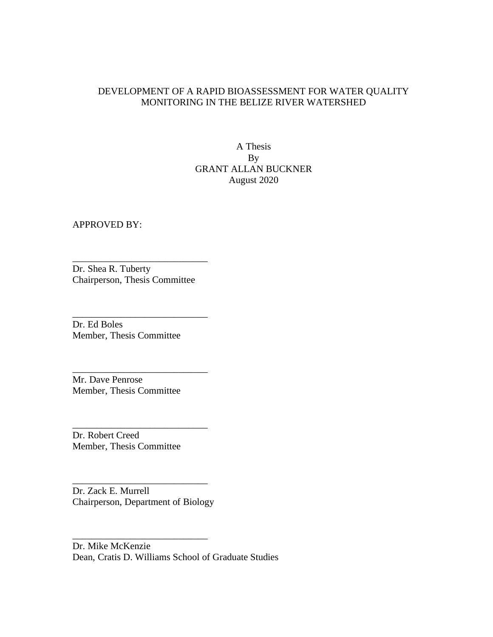# DEVELOPMENT OF A RAPID BIOASSESSMENT FOR WATER QUALITY MONITORING IN THE BELIZE RIVER WATERSHED

A Thesis By GRANT ALLAN BUCKNER August 2020

APPROVED BY:

Dr. Shea R. Tuberty Chairperson, Thesis Committee

\_\_\_\_\_\_\_\_\_\_\_\_\_\_\_\_\_\_\_\_\_\_\_\_\_\_\_\_

\_\_\_\_\_\_\_\_\_\_\_\_\_\_\_\_\_\_\_\_\_\_\_\_\_\_\_\_

\_\_\_\_\_\_\_\_\_\_\_\_\_\_\_\_\_\_\_\_\_\_\_\_\_\_\_\_

\_\_\_\_\_\_\_\_\_\_\_\_\_\_\_\_\_\_\_\_\_\_\_\_\_\_\_\_

Dr. Ed Boles Member, Thesis Committee

Mr. Dave Penrose Member, Thesis Committee

Dr. Robert Creed Member, Thesis Committee

Dr. Zack E. Murrell Chairperson, Department of Biology

\_\_\_\_\_\_\_\_\_\_\_\_\_\_\_\_\_\_\_\_\_\_\_\_\_\_\_\_

\_\_\_\_\_\_\_\_\_\_\_\_\_\_\_\_\_\_\_\_\_\_\_\_\_\_\_\_

Dr. Mike McKenzie Dean, Cratis D. Williams School of Graduate Studies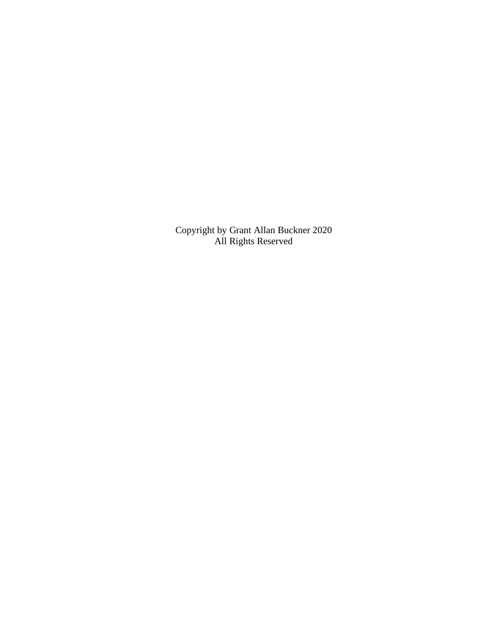Copyright by Grant Allan Buckner 2020 All Rights Reserved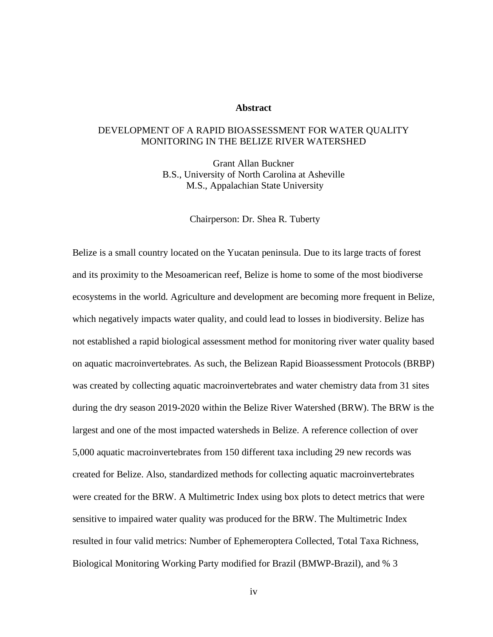# **Abstract**

# DEVELOPMENT OF A RAPID BIOASSESSMENT FOR WATER QUALITY MONITORING IN THE BELIZE RIVER WATERSHED

Grant Allan Buckner B.S., University of North Carolina at Asheville M.S., Appalachian State University

Chairperson: Dr. Shea R. Tuberty

Belize is a small country located on the Yucatan peninsula. Due to its large tracts of forest and its proximity to the Mesoamerican reef, Belize is home to some of the most biodiverse ecosystems in the world. Agriculture and development are becoming more frequent in Belize, which negatively impacts water quality, and could lead to losses in biodiversity. Belize has not established a rapid biological assessment method for monitoring river water quality based on aquatic macroinvertebrates. As such, the Belizean Rapid Bioassessment Protocols (BRBP) was created by collecting aquatic macroinvertebrates and water chemistry data from 31 sites during the dry season 2019-2020 within the Belize River Watershed (BRW). The BRW is the largest and one of the most impacted watersheds in Belize. A reference collection of over 5,000 aquatic macroinvertebrates from 150 different taxa including 29 new records was created for Belize. Also, standardized methods for collecting aquatic macroinvertebrates were created for the BRW. A Multimetric Index using box plots to detect metrics that were sensitive to impaired water quality was produced for the BRW. The Multimetric Index resulted in four valid metrics: Number of Ephemeroptera Collected, Total Taxa Richness, Biological Monitoring Working Party modified for Brazil (BMWP-Brazil), and % 3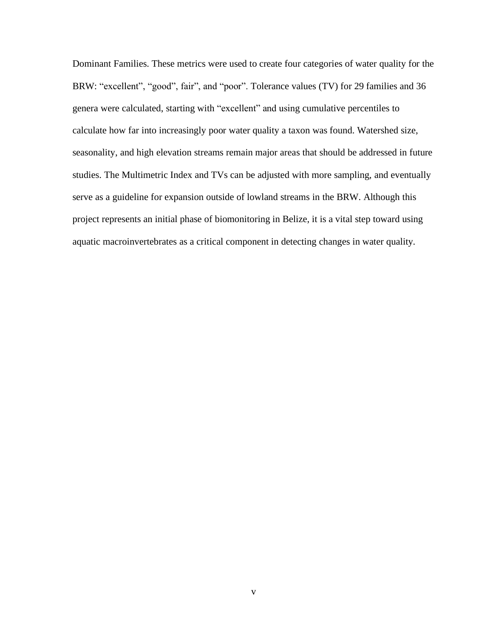Dominant Families. These metrics were used to create four categories of water quality for the BRW: "excellent", "good", fair", and "poor". Tolerance values (TV) for 29 families and 36 genera were calculated, starting with "excellent" and using cumulative percentiles to calculate how far into increasingly poor water quality a taxon was found. Watershed size, seasonality, and high elevation streams remain major areas that should be addressed in future studies. The Multimetric Index and TVs can be adjusted with more sampling, and eventually serve as a guideline for expansion outside of lowland streams in the BRW. Although this project represents an initial phase of biomonitoring in Belize, it is a vital step toward using aquatic macroinvertebrates as a critical component in detecting changes in water quality.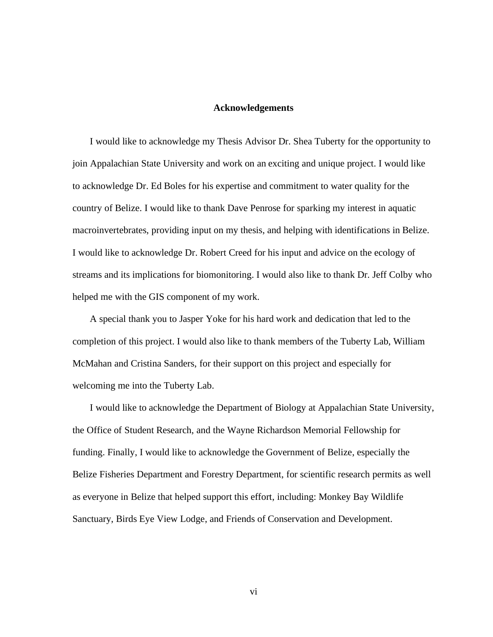# **Acknowledgements**

I would like to acknowledge my Thesis Advisor Dr. Shea Tuberty for the opportunity to join Appalachian State University and work on an exciting and unique project. I would like to acknowledge Dr. Ed Boles for his expertise and commitment to water quality for the country of Belize. I would like to thank Dave Penrose for sparking my interest in aquatic macroinvertebrates, providing input on my thesis, and helping with identifications in Belize. I would like to acknowledge Dr. Robert Creed for his input and advice on the ecology of streams and its implications for biomonitoring. I would also like to thank Dr. Jeff Colby who helped me with the GIS component of my work.

A special thank you to Jasper Yoke for his hard work and dedication that led to the completion of this project. I would also like to thank members of the Tuberty Lab, William McMahan and Cristina Sanders, for their support on this project and especially for welcoming me into the Tuberty Lab.

I would like to acknowledge the Department of Biology at Appalachian State University, the Office of Student Research, and the Wayne Richardson Memorial Fellowship for funding. Finally, I would like to acknowledge the Government of Belize, especially the Belize Fisheries Department and Forestry Department, for scientific research permits as well as everyone in Belize that helped support this effort, including: Monkey Bay Wildlife Sanctuary, Birds Eye View Lodge, and Friends of Conservation and Development.

vi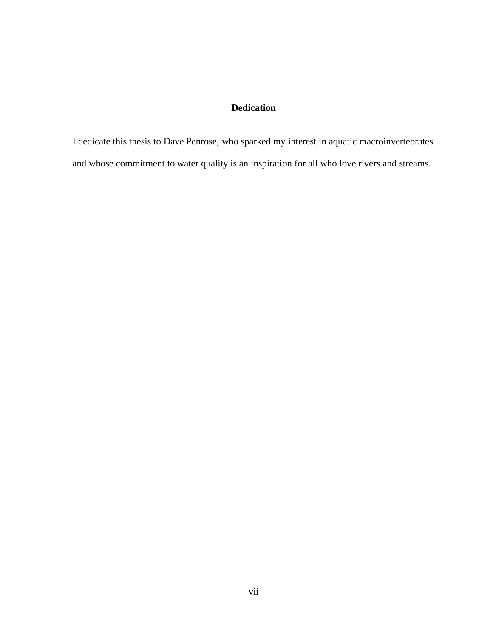# **Dedication**

I dedicate this thesis to Dave Penrose, who sparked my interest in aquatic macroinvertebrates and whose commitment to water quality is an inspiration for all who love rivers and streams.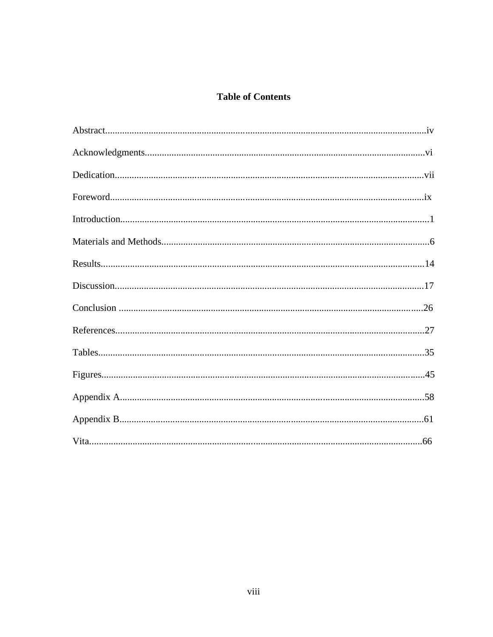# **Table of Contents**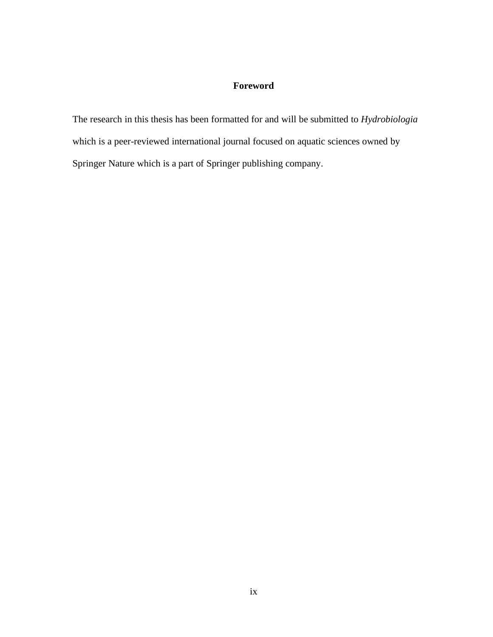# **Foreword**

The research in this thesis has been formatted for and will be submitted to *Hydrobiologia* which is a peer-reviewed international journal focused on aquatic sciences owned by Springer Nature which is a part of Springer publishing company.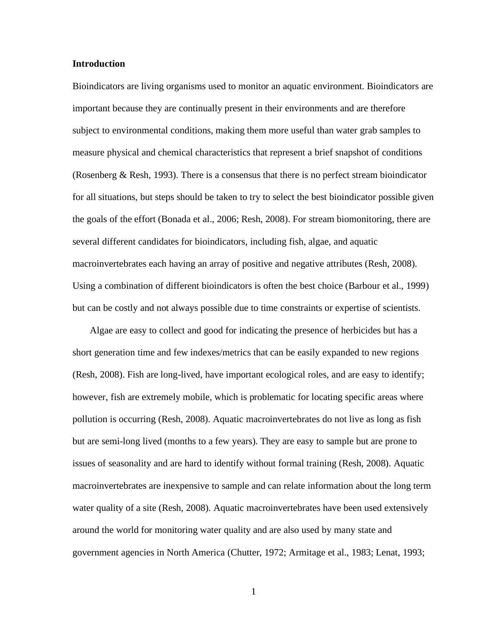# **Introduction**

Bioindicators are living organisms used to monitor an aquatic environment. Bioindicators are important because they are continually present in their environments and are therefore subject to environmental conditions, making them more useful than water grab samples to measure physical and chemical characteristics that represent a brief snapshot of conditions (Rosenberg & Resh, 1993). There is a consensus that there is no perfect stream bioindicator for all situations, but steps should be taken to try to select the best bioindicator possible given the goals of the effort (Bonada et al., 2006; Resh, 2008). For stream biomonitoring, there are several different candidates for bioindicators, including fish, algae, and aquatic macroinvertebrates each having an array of positive and negative attributes (Resh, 2008). Using a combination of different bioindicators is often the best choice (Barbour et al., 1999) but can be costly and not always possible due to time constraints or expertise of scientists.

Algae are easy to collect and good for indicating the presence of herbicides but has a short generation time and few indexes/metrics that can be easily expanded to new regions (Resh, 2008). Fish are long-lived, have important ecological roles, and are easy to identify; however, fish are extremely mobile, which is problematic for locating specific areas where pollution is occurring (Resh, 2008). Aquatic macroinvertebrates do not live as long as fish but are semi-long lived (months to a few years). They are easy to sample but are prone to issues of seasonality and are hard to identify without formal training (Resh, 2008). Aquatic macroinvertebrates are inexpensive to sample and can relate information about the long term water quality of a site (Resh, 2008). Aquatic macroinvertebrates have been used extensively around the world for monitoring water quality and are also used by many state and government agencies in North America (Chutter, 1972; Armitage et al., 1983; Lenat, 1993;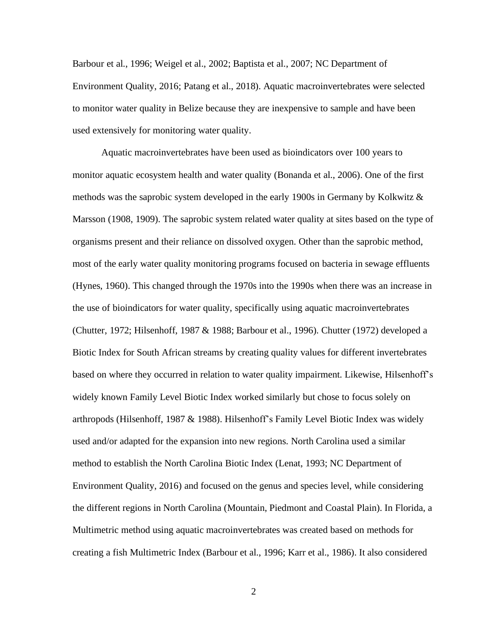Barbour et al., 1996; Weigel et al., 2002; Baptista et al., 2007; NC Department of Environment Quality, 2016; Patang et al., 2018). Aquatic macroinvertebrates were selected to monitor water quality in Belize because they are inexpensive to sample and have been used extensively for monitoring water quality.

Aquatic macroinvertebrates have been used as bioindicators over 100 years to monitor aquatic ecosystem health and water quality (Bonanda et al., 2006). One of the first methods was the saprobic system developed in the early 1900s in Germany by Kolkwitz  $\&$ Marsson (1908, 1909). The saprobic system related water quality at sites based on the type of organisms present and their reliance on dissolved oxygen. Other than the saprobic method, most of the early water quality monitoring programs focused on bacteria in sewage effluents (Hynes, 1960). This changed through the 1970s into the 1990s when there was an increase in the use of bioindicators for water quality, specifically using aquatic macroinvertebrates (Chutter, 1972; Hilsenhoff, 1987 & 1988; Barbour et al., 1996). Chutter (1972) developed a Biotic Index for South African streams by creating quality values for different invertebrates based on where they occurred in relation to water quality impairment. Likewise, Hilsenhoff's widely known Family Level Biotic Index worked similarly but chose to focus solely on arthropods (Hilsenhoff, 1987 & 1988). Hilsenhoff's Family Level Biotic Index was widely used and/or adapted for the expansion into new regions. North Carolina used a similar method to establish the North Carolina Biotic Index (Lenat, 1993; NC Department of Environment Quality, 2016) and focused on the genus and species level, while considering the different regions in North Carolina (Mountain, Piedmont and Coastal Plain). In Florida, a Multimetric method using aquatic macroinvertebrates was created based on methods for creating a fish Multimetric Index (Barbour et al., 1996; Karr et al., 1986). It also considered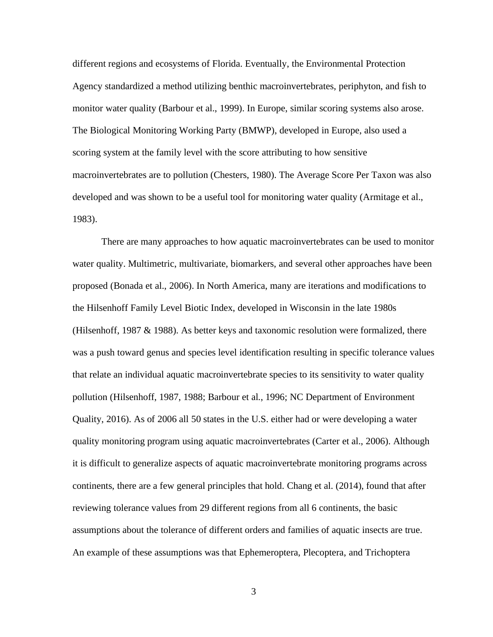different regions and ecosystems of Florida. Eventually, the Environmental Protection Agency standardized a method utilizing benthic macroinvertebrates, periphyton, and fish to monitor water quality (Barbour et al., 1999). In Europe, similar scoring systems also arose. The Biological Monitoring Working Party (BMWP), developed in Europe, also used a scoring system at the family level with the score attributing to how sensitive macroinvertebrates are to pollution (Chesters, 1980). The Average Score Per Taxon was also developed and was shown to be a useful tool for monitoring water quality (Armitage et al., 1983).

There are many approaches to how aquatic macroinvertebrates can be used to monitor water quality. Multimetric, multivariate, biomarkers, and several other approaches have been proposed (Bonada et al., 2006). In North America, many are iterations and modifications to the Hilsenhoff Family Level Biotic Index, developed in Wisconsin in the late 1980s (Hilsenhoff, 1987  $&$  1988). As better keys and taxonomic resolution were formalized, there was a push toward genus and species level identification resulting in specific tolerance values that relate an individual aquatic macroinvertebrate species to its sensitivity to water quality pollution (Hilsenhoff, 1987, 1988; Barbour et al., 1996; NC Department of Environment Quality, 2016). As of 2006 all 50 states in the U.S. either had or were developing a water quality monitoring program using aquatic macroinvertebrates (Carter et al., 2006). Although it is difficult to generalize aspects of aquatic macroinvertebrate monitoring programs across continents, there are a few general principles that hold. Chang et al. (2014), found that after reviewing tolerance values from 29 different regions from all 6 continents, the basic assumptions about the tolerance of different orders and families of aquatic insects are true. An example of these assumptions was that Ephemeroptera, Plecoptera, and Trichoptera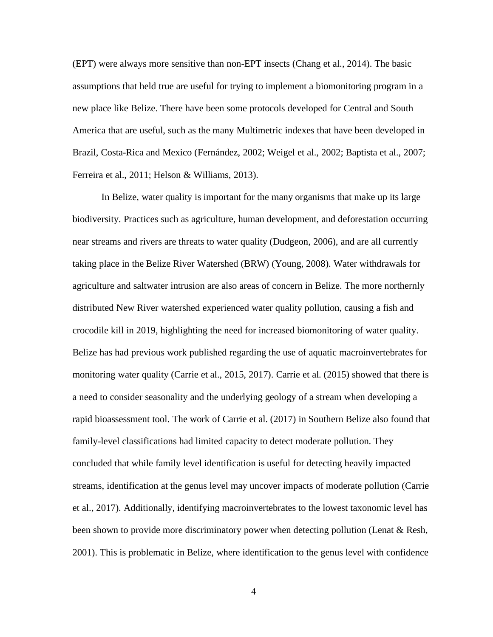(EPT) were always more sensitive than non-EPT insects (Chang et al., 2014). The basic assumptions that held true are useful for trying to implement a biomonitoring program in a new place like Belize. There have been some protocols developed for Central and South America that are useful, such as the many Multimetric indexes that have been developed in Brazil, Costa-Rica and Mexico (Fernández, 2002; Weigel et al., 2002; Baptista et al., 2007; Ferreira et al., 2011; Helson & Williams, 2013).

In Belize, water quality is important for the many organisms that make up its large biodiversity. Practices such as agriculture, human development, and deforestation occurring near streams and rivers are threats to water quality (Dudgeon, 2006), and are all currently taking place in the Belize River Watershed (BRW) (Young, 2008). Water withdrawals for agriculture and saltwater intrusion are also areas of concern in Belize. The more northernly distributed New River watershed experienced water quality pollution, causing a fish and crocodile kill in 2019, highlighting the need for increased biomonitoring of water quality. Belize has had previous work published regarding the use of aquatic macroinvertebrates for monitoring water quality (Carrie et al., 2015, 2017). Carrie et al. (2015) showed that there is a need to consider seasonality and the underlying geology of a stream when developing a rapid bioassessment tool. The work of Carrie et al. (2017) in Southern Belize also found that family-level classifications had limited capacity to detect moderate pollution. They concluded that while family level identification is useful for detecting heavily impacted streams, identification at the genus level may uncover impacts of moderate pollution (Carrie et al., 2017). Additionally, identifying macroinvertebrates to the lowest taxonomic level has been shown to provide more discriminatory power when detecting pollution (Lenat & Resh, 2001). This is problematic in Belize, where identification to the genus level with confidence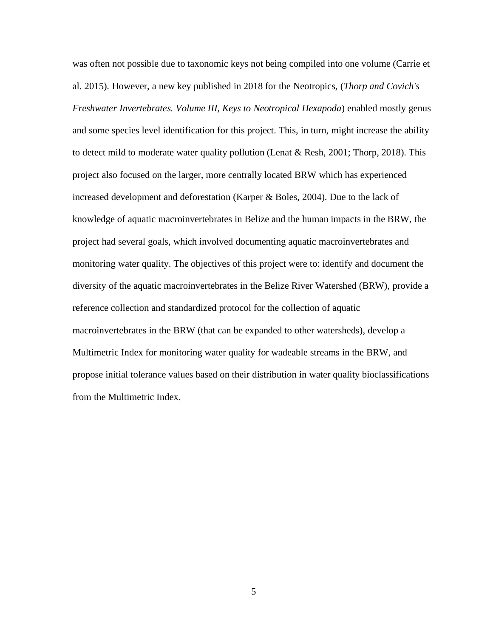was often not possible due to taxonomic keys not being compiled into one volume (Carrie et al. 2015). However, a new key published in 2018 for the Neotropics, (*Thorp and Covich's Freshwater Invertebrates. Volume III, Keys to Neotropical Hexapoda*) enabled mostly genus and some species level identification for this project. This, in turn, might increase the ability to detect mild to moderate water quality pollution (Lenat & Resh, 2001; Thorp, 2018). This project also focused on the larger, more centrally located BRW which has experienced increased development and deforestation (Karper & Boles, 2004). Due to the lack of knowledge of aquatic macroinvertebrates in Belize and the human impacts in the BRW, the project had several goals, which involved documenting aquatic macroinvertebrates and monitoring water quality. The objectives of this project were to: identify and document the diversity of the aquatic macroinvertebrates in the Belize River Watershed (BRW), provide a reference collection and standardized protocol for the collection of aquatic macroinvertebrates in the BRW (that can be expanded to other watersheds), develop a Multimetric Index for monitoring water quality for wadeable streams in the BRW, and propose initial tolerance values based on their distribution in water quality bioclassifications from the Multimetric Index.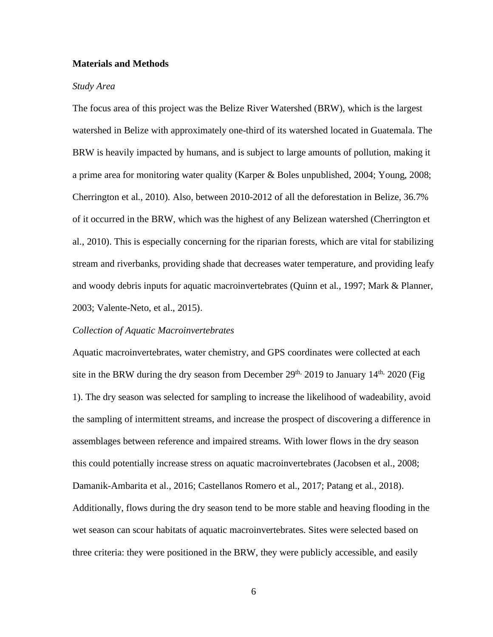# **Materials and Methods**

#### *Study Area*

The focus area of this project was the Belize River Watershed (BRW), which is the largest watershed in Belize with approximately one-third of its watershed located in Guatemala. The BRW is heavily impacted by humans, and is subject to large amounts of pollution, making it a prime area for monitoring water quality (Karper & Boles unpublished, 2004; Young, 2008; Cherrington et al., 2010). Also, between 2010-2012 of all the deforestation in Belize, 36.7% of it occurred in the BRW, which was the highest of any Belizean watershed (Cherrington et al., 2010). This is especially concerning for the riparian forests, which are vital for stabilizing stream and riverbanks, providing shade that decreases water temperature, and providing leafy and woody debris inputs for aquatic macroinvertebrates (Quinn et al., 1997; Mark & Planner, 2003; Valente-Neto, et al., 2015).

#### *Collection of Aquatic Macroinvertebrates*

Aquatic macroinvertebrates, water chemistry, and GPS coordinates were collected at each site in the BRW during the dry season from December  $29<sup>th</sup>$ , 2019 to January 14<sup>th,</sup> 2020 (Fig 1). The dry season was selected for sampling to increase the likelihood of wadeability, avoid the sampling of intermittent streams, and increase the prospect of discovering a difference in assemblages between reference and impaired streams. With lower flows in the dry season this could potentially increase stress on aquatic macroinvertebrates (Jacobsen et al., 2008; Damanik-Ambarita et al., 2016; Castellanos Romero et al., 2017; Patang et al., 2018). Additionally, flows during the dry season tend to be more stable and heaving flooding in the wet season can scour habitats of aquatic macroinvertebrates. Sites were selected based on three criteria: they were positioned in the BRW, they were publicly accessible, and easily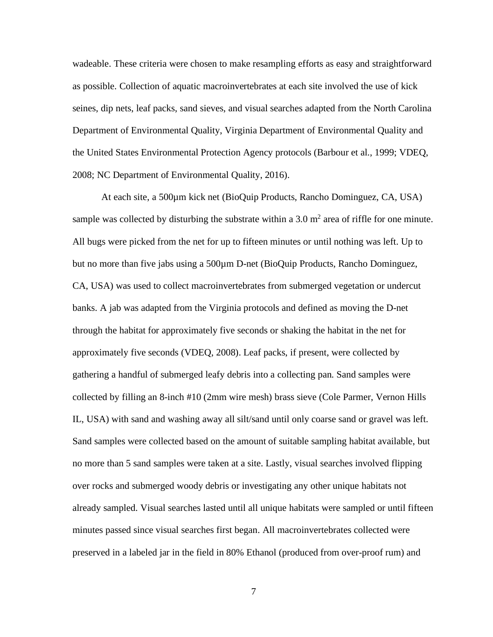wadeable. These criteria were chosen to make resampling efforts as easy and straightforward as possible. Collection of aquatic macroinvertebrates at each site involved the use of kick seines, dip nets, leaf packs, sand sieves, and visual searches adapted from the North Carolina Department of Environmental Quality, Virginia Department of Environmental Quality and the United States Environmental Protection Agency protocols (Barbour et al., 1999; VDEQ, 2008; NC Department of Environmental Quality, 2016).

At each site, a 500µm kick net (BioQuip Products, Rancho Dominguez, CA, USA) sample was collected by disturbing the substrate within a 3.0  $m<sup>2</sup>$  area of riffle for one minute. All bugs were picked from the net for up to fifteen minutes or until nothing was left. Up to but no more than five jabs using a 500µm D-net (BioQuip Products, Rancho Dominguez, CA, USA) was used to collect macroinvertebrates from submerged vegetation or undercut banks. A jab was adapted from the Virginia protocols and defined as moving the D-net through the habitat for approximately five seconds or shaking the habitat in the net for approximately five seconds (VDEQ, 2008). Leaf packs, if present, were collected by gathering a handful of submerged leafy debris into a collecting pan. Sand samples were collected by filling an 8-inch #10 (2mm wire mesh) brass sieve (Cole Parmer, Vernon Hills IL, USA) with sand and washing away all silt/sand until only coarse sand or gravel was left. Sand samples were collected based on the amount of suitable sampling habitat available, but no more than 5 sand samples were taken at a site. Lastly, visual searches involved flipping over rocks and submerged woody debris or investigating any other unique habitats not already sampled. Visual searches lasted until all unique habitats were sampled or until fifteen minutes passed since visual searches first began. All macroinvertebrates collected were preserved in a labeled jar in the field in 80% Ethanol (produced from over-proof rum) and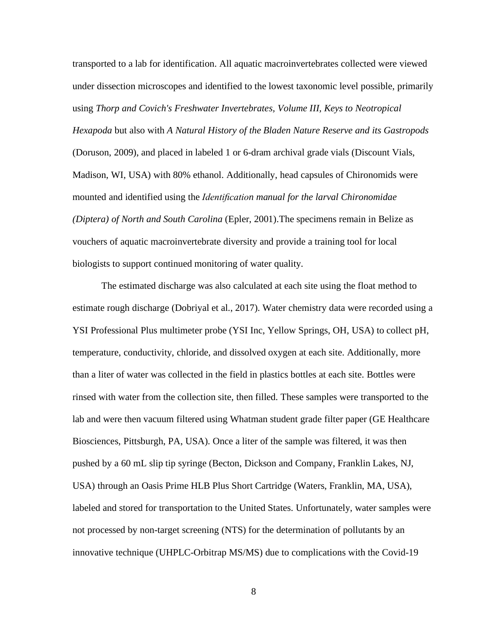transported to a lab for identification. All aquatic macroinvertebrates collected were viewed under dissection microscopes and identified to the lowest taxonomic level possible, primarily using *Thorp and Covich's Freshwater Invertebrates, Volume III, Keys to Neotropical Hexapoda* but also with *A Natural History of the Bladen Nature Reserve and its Gastropods* (Doruson, 2009), and placed in labeled 1 or 6-dram archival grade vials (Discount Vials, Madison, WI, USA) with 80% ethanol. Additionally, head capsules of Chironomids were mounted and identified using the *Identification manual for the larval Chironomidae (Diptera) of North and South Carolina* (Epler, 2001).The specimens remain in Belize as vouchers of aquatic macroinvertebrate diversity and provide a training tool for local biologists to support continued monitoring of water quality.

The estimated discharge was also calculated at each site using the float method to estimate rough discharge (Dobriyal et al., 2017). Water chemistry data were recorded using a YSI Professional Plus multimeter probe (YSI Inc, Yellow Springs, OH, USA) to collect pH, temperature, conductivity, chloride, and dissolved oxygen at each site. Additionally, more than a liter of water was collected in the field in plastics bottles at each site. Bottles were rinsed with water from the collection site, then filled. These samples were transported to the lab and were then vacuum filtered using Whatman student grade filter paper (GE Healthcare Biosciences, Pittsburgh, PA, USA). Once a liter of the sample was filtered, it was then pushed by a 60 mL slip tip syringe (Becton, Dickson and Company, Franklin Lakes, NJ, USA) through an Oasis Prime HLB Plus Short Cartridge (Waters, Franklin, MA, USA), labeled and stored for transportation to the United States. Unfortunately, water samples were not processed by non-target screening (NTS) for the determination of pollutants by an innovative technique (UHPLC-Orbitrap MS/MS) due to complications with the Covid-19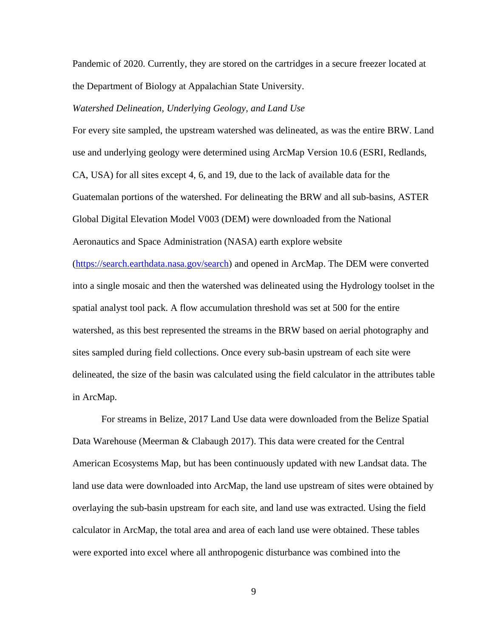Pandemic of 2020. Currently, they are stored on the cartridges in a secure freezer located at the Department of Biology at Appalachian State University.

# *Watershed Delineation, Underlying Geology, and Land Use*

For every site sampled, the upstream watershed was delineated, as was the entire BRW. Land use and underlying geology were determined using ArcMap Version 10.6 (ESRI, Redlands, CA, USA) for all sites except 4, 6, and 19, due to the lack of available data for the Guatemalan portions of the watershed. For delineating the BRW and all sub-basins, ASTER Global Digital Elevation Model V003 (DEM) were downloaded from the National Aeronautics and Space Administration (NASA) earth explore website

[\(https://search.earthdata.nasa.gov/search\)](https://search.earthdata.nasa.gov/search) and opened in ArcMap. The DEM were converted into a single mosaic and then the watershed was delineated using the Hydrology toolset in the spatial analyst tool pack. A flow accumulation threshold was set at 500 for the entire watershed, as this best represented the streams in the BRW based on aerial photography and sites sampled during field collections. Once every sub-basin upstream of each site were delineated, the size of the basin was calculated using the field calculator in the attributes table in ArcMap.

For streams in Belize, 2017 Land Use data were downloaded from the Belize Spatial Data Warehouse (Meerman & Clabaugh 2017). This data were created for the Central American Ecosystems Map, but has been continuously updated with new Landsat data. The land use data were downloaded into ArcMap, the land use upstream of sites were obtained by overlaying the sub-basin upstream for each site, and land use was extracted. Using the field calculator in ArcMap, the total area and area of each land use were obtained. These tables were exported into excel where all anthropogenic disturbance was combined into the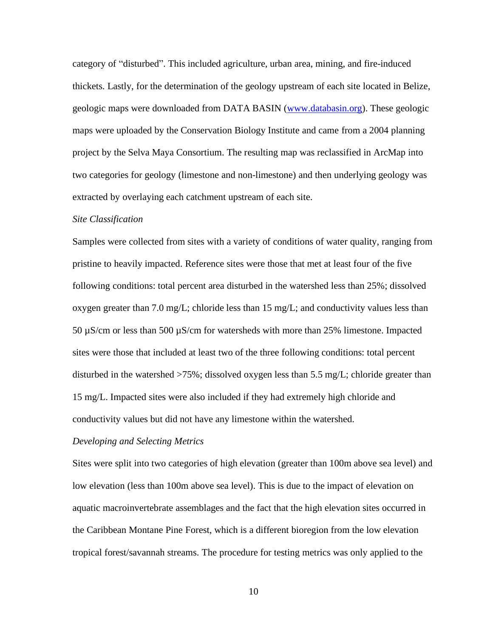category of "disturbed". This included agriculture, urban area, mining, and fire-induced thickets. Lastly, for the determination of the geology upstream of each site located in Belize, geologic maps were downloaded from DATA BASIN [\(www.databasin.org\)](http://www.databasin.org/). These geologic maps were uploaded by the Conservation Biology Institute and came from a 2004 planning project by the Selva Maya Consortium. The resulting map was reclassified in ArcMap into two categories for geology (limestone and non-limestone) and then underlying geology was extracted by overlaying each catchment upstream of each site.

#### *Site Classification*

Samples were collected from sites with a variety of conditions of water quality, ranging from pristine to heavily impacted. Reference sites were those that met at least four of the five following conditions: total percent area disturbed in the watershed less than 25%; dissolved oxygen greater than 7.0 mg/L; chloride less than 15 mg/L; and conductivity values less than 50 µS/cm or less than 500 µS/cm for watersheds with more than 25% limestone. Impacted sites were those that included at least two of the three following conditions: total percent disturbed in the watershed >75%; dissolved oxygen less than 5.5 mg/L; chloride greater than 15 mg/L. Impacted sites were also included if they had extremely high chloride and conductivity values but did not have any limestone within the watershed.

#### *Developing and Selecting Metrics*

Sites were split into two categories of high elevation (greater than 100m above sea level) and low elevation (less than 100m above sea level). This is due to the impact of elevation on aquatic macroinvertebrate assemblages and the fact that the high elevation sites occurred in the Caribbean Montane Pine Forest, which is a different bioregion from the low elevation tropical forest/savannah streams. The procedure for testing metrics was only applied to the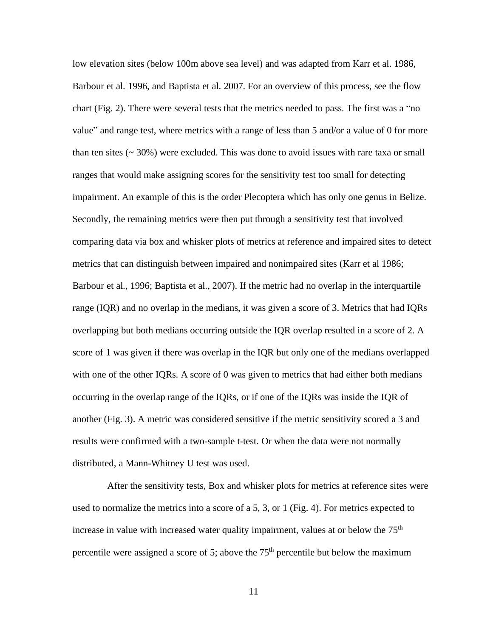low elevation sites (below 100m above sea level) and was adapted from Karr et al. 1986, Barbour et al. 1996, and Baptista et al. 2007. For an overview of this process, see the flow chart (Fig. 2). There were several tests that the metrics needed to pass. The first was a "no value" and range test, where metrics with a range of less than 5 and/or a value of 0 for more than ten sites  $($   $\sim$  30%) were excluded. This was done to avoid issues with rare taxa or small ranges that would make assigning scores for the sensitivity test too small for detecting impairment. An example of this is the order Plecoptera which has only one genus in Belize. Secondly, the remaining metrics were then put through a sensitivity test that involved comparing data via box and whisker plots of metrics at reference and impaired sites to detect metrics that can distinguish between impaired and nonimpaired sites (Karr et al 1986; Barbour et al., 1996; Baptista et al., 2007). If the metric had no overlap in the interquartile range (IQR) and no overlap in the medians, it was given a score of 3. Metrics that had IQRs overlapping but both medians occurring outside the IQR overlap resulted in a score of 2. A score of 1 was given if there was overlap in the IQR but only one of the medians overlapped with one of the other IQRs. A score of 0 was given to metrics that had either both medians occurring in the overlap range of the IQRs, or if one of the IQRs was inside the IQR of another (Fig. 3). A metric was considered sensitive if the metric sensitivity scored a 3 and results were confirmed with a two-sample t-test. Or when the data were not normally distributed, a Mann-Whitney U test was used.

After the sensitivity tests, Box and whisker plots for metrics at reference sites were used to normalize the metrics into a score of a 5, 3, or 1 (Fig. 4). For metrics expected to increase in value with increased water quality impairment, values at or below the 75<sup>th</sup> percentile were assigned a score of 5; above the  $75<sup>th</sup>$  percentile but below the maximum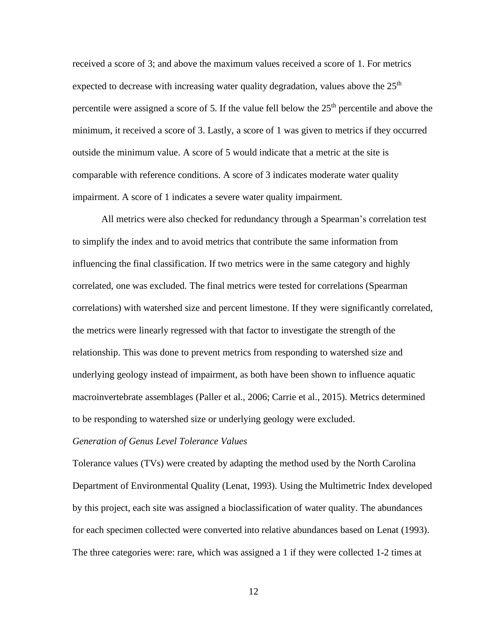received a score of 3; and above the maximum values received a score of 1. For metrics expected to decrease with increasing water quality degradation, values above the  $25<sup>th</sup>$ percentile were assigned a score of 5. If the value fell below the  $25<sup>th</sup>$  percentile and above the minimum, it received a score of 3. Lastly, a score of 1 was given to metrics if they occurred outside the minimum value. A score of 5 would indicate that a metric at the site is comparable with reference conditions. A score of 3 indicates moderate water quality impairment. A score of 1 indicates a severe water quality impairment.

All metrics were also checked for redundancy through a Spearman's correlation test to simplify the index and to avoid metrics that contribute the same information from influencing the final classification. If two metrics were in the same category and highly correlated, one was excluded. The final metrics were tested for correlations (Spearman correlations) with watershed size and percent limestone. If they were significantly correlated, the metrics were linearly regressed with that factor to investigate the strength of the relationship. This was done to prevent metrics from responding to watershed size and underlying geology instead of impairment, as both have been shown to influence aquatic macroinvertebrate assemblages (Paller et al., 2006; Carrie et al., 2015). Metrics determined to be responding to watershed size or underlying geology were excluded.

### *Generation of Genus Level Tolerance Values*

Tolerance values (TVs) were created by adapting the method used by the North Carolina Department of Environmental Quality (Lenat, 1993). Using the Multimetric Index developed by this project, each site was assigned a bioclassification of water quality. The abundances for each specimen collected were converted into relative abundances based on Lenat (1993). The three categories were: rare, which was assigned a 1 if they were collected 1-2 times at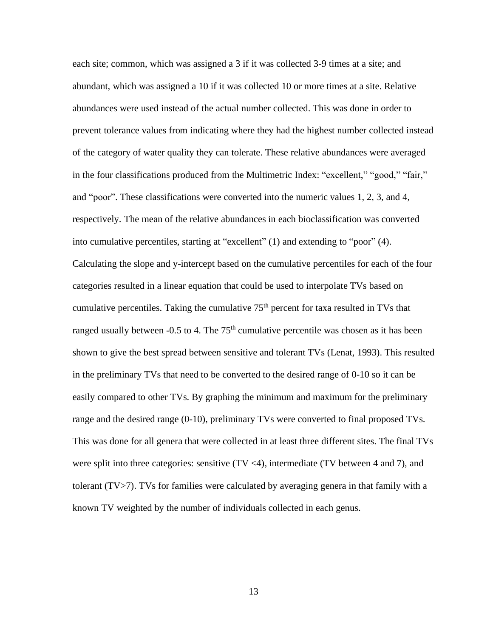each site; common, which was assigned a 3 if it was collected 3-9 times at a site; and abundant, which was assigned a 10 if it was collected 10 or more times at a site. Relative abundances were used instead of the actual number collected. This was done in order to prevent tolerance values from indicating where they had the highest number collected instead of the category of water quality they can tolerate. These relative abundances were averaged in the four classifications produced from the Multimetric Index: "excellent," "good," "fair," and "poor". These classifications were converted into the numeric values 1, 2, 3, and 4, respectively. The mean of the relative abundances in each bioclassification was converted into cumulative percentiles, starting at "excellent" (1) and extending to "poor" (4). Calculating the slope and y-intercept based on the cumulative percentiles for each of the four categories resulted in a linear equation that could be used to interpolate TVs based on cumulative percentiles. Taking the cumulative  $75<sup>th</sup>$  percent for taxa resulted in TVs that ranged usually between  $-0.5$  to 4. The  $75<sup>th</sup>$  cumulative percentile was chosen as it has been shown to give the best spread between sensitive and tolerant TVs (Lenat, 1993). This resulted in the preliminary TVs that need to be converted to the desired range of 0-10 so it can be easily compared to other TVs. By graphing the minimum and maximum for the preliminary range and the desired range (0-10), preliminary TVs were converted to final proposed TVs. This was done for all genera that were collected in at least three different sites. The final TVs were split into three categories: sensitive  $(TV \le 4)$ , intermediate  $(TV$  between 4 and 7), and tolerant (TV>7). TVs for families were calculated by averaging genera in that family with a known TV weighted by the number of individuals collected in each genus.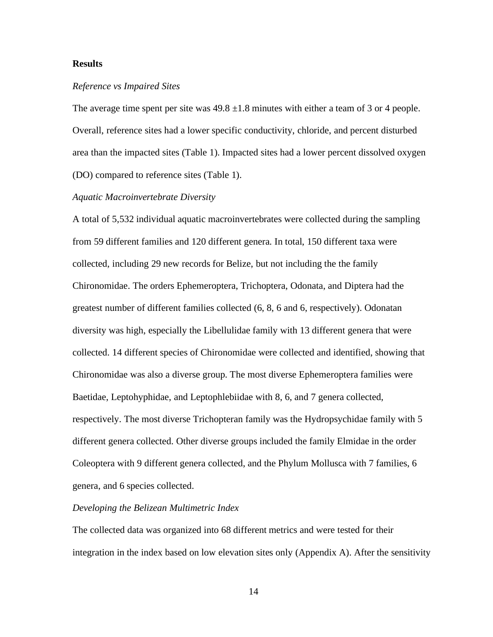# **Results**

#### *Reference vs Impaired Sites*

The average time spent per site was  $49.8 \pm 1.8$  minutes with either a team of 3 or 4 people. Overall, reference sites had a lower specific conductivity, chloride, and percent disturbed area than the impacted sites (Table 1). Impacted sites had a lower percent dissolved oxygen (DO) compared to reference sites (Table 1).

#### *Aquatic Macroinvertebrate Diversity*

A total of 5,532 individual aquatic macroinvertebrates were collected during the sampling from 59 different families and 120 different genera. In total, 150 different taxa were collected, including 29 new records for Belize, but not including the the family Chironomidae. The orders Ephemeroptera, Trichoptera, Odonata, and Diptera had the greatest number of different families collected (6, 8, 6 and 6, respectively). Odonatan diversity was high, especially the Libellulidae family with 13 different genera that were collected. 14 different species of Chironomidae were collected and identified, showing that Chironomidae was also a diverse group. The most diverse Ephemeroptera families were Baetidae, Leptohyphidae, and Leptophlebiidae with 8, 6, and 7 genera collected, respectively. The most diverse Trichopteran family was the Hydropsychidae family with 5 different genera collected. Other diverse groups included the family Elmidae in the order Coleoptera with 9 different genera collected, and the Phylum Mollusca with 7 families, 6 genera, and 6 species collected.

#### *Developing the Belizean Multimetric Index*

The collected data was organized into 68 different metrics and were tested for their integration in the index based on low elevation sites only (Appendix A). After the sensitivity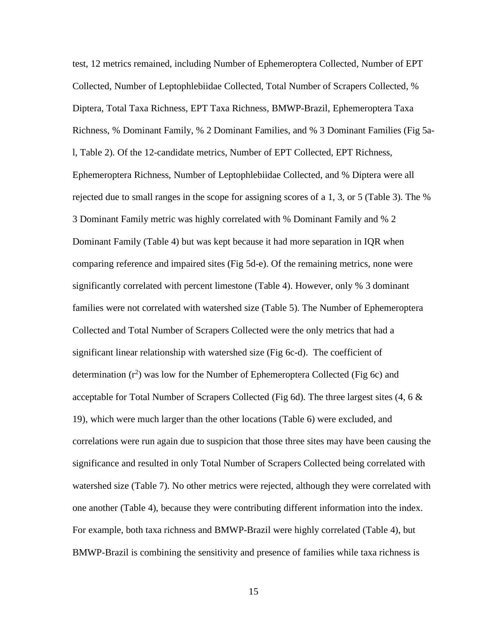test, 12 metrics remained, including Number of Ephemeroptera Collected, Number of EPT Collected, Number of Leptophlebiidae Collected, Total Number of Scrapers Collected, % Diptera, Total Taxa Richness, EPT Taxa Richness, BMWP-Brazil, Ephemeroptera Taxa Richness, % Dominant Family, % 2 Dominant Families, and % 3 Dominant Families (Fig 5al, Table 2). Of the 12-candidate metrics, Number of EPT Collected, EPT Richness, Ephemeroptera Richness, Number of Leptophlebiidae Collected, and % Diptera were all rejected due to small ranges in the scope for assigning scores of a 1, 3, or 5 (Table 3). The % 3 Dominant Family metric was highly correlated with % Dominant Family and % 2 Dominant Family (Table 4) but was kept because it had more separation in IQR when comparing reference and impaired sites (Fig 5d-e). Of the remaining metrics, none were significantly correlated with percent limestone (Table 4). However, only % 3 dominant families were not correlated with watershed size (Table 5). The Number of Ephemeroptera Collected and Total Number of Scrapers Collected were the only metrics that had a significant linear relationship with watershed size (Fig 6c-d). The coefficient of determination  $(r^2)$  was low for the Number of Ephemeroptera Collected (Fig 6c) and acceptable for Total Number of Scrapers Collected (Fig 6d). The three largest sites  $(4, 6 \&$ 19), which were much larger than the other locations (Table 6) were excluded, and correlations were run again due to suspicion that those three sites may have been causing the significance and resulted in only Total Number of Scrapers Collected being correlated with watershed size (Table 7). No other metrics were rejected, although they were correlated with one another (Table 4), because they were contributing different information into the index. For example, both taxa richness and BMWP-Brazil were highly correlated (Table 4), but BMWP-Brazil is combining the sensitivity and presence of families while taxa richness is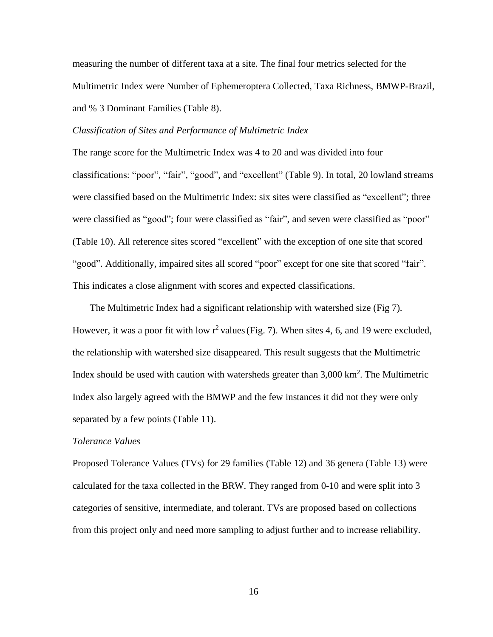measuring the number of different taxa at a site. The final four metrics selected for the Multimetric Index were Number of Ephemeroptera Collected, Taxa Richness, BMWP-Brazil, and % 3 Dominant Families (Table 8).

# *Classification of Sites and Performance of Multimetric Index*

The range score for the Multimetric Index was 4 to 20 and was divided into four classifications: "poor", "fair", "good", and "excellent" (Table 9). In total, 20 lowland streams were classified based on the Multimetric Index: six sites were classified as "excellent"; three were classified as "good"; four were classified as "fair", and seven were classified as "poor" (Table 10). All reference sites scored "excellent" with the exception of one site that scored "good". Additionally, impaired sites all scored "poor" except for one site that scored "fair". This indicates a close alignment with scores and expected classifications.

The Multimetric Index had a significant relationship with watershed size (Fig 7). However, it was a poor fit with low  $r^2$  values (Fig. 7). When sites 4, 6, and 19 were excluded, the relationship with watershed size disappeared. This result suggests that the Multimetric Index should be used with caution with watersheds greater than 3,000 km<sup>2</sup>. The Multimetric Index also largely agreed with the BMWP and the few instances it did not they were only separated by a few points (Table 11).

#### *Tolerance Values*

Proposed Tolerance Values (TVs) for 29 families (Table 12) and 36 genera (Table 13) were calculated for the taxa collected in the BRW. They ranged from 0-10 and were split into 3 categories of sensitive, intermediate, and tolerant. TVs are proposed based on collections from this project only and need more sampling to adjust further and to increase reliability.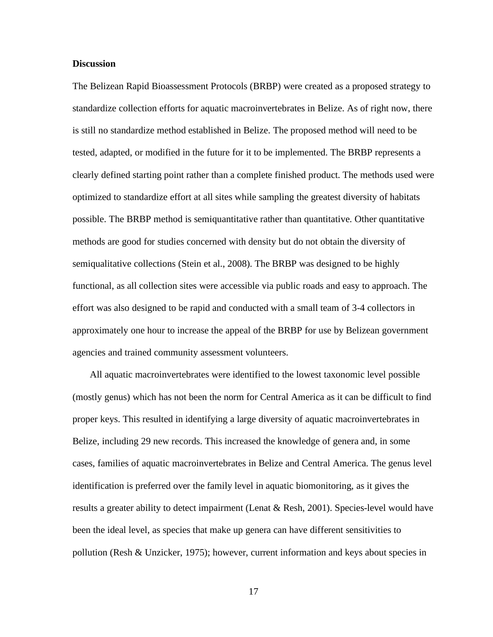# **Discussion**

The Belizean Rapid Bioassessment Protocols (BRBP) were created as a proposed strategy to standardize collection efforts for aquatic macroinvertebrates in Belize. As of right now, there is still no standardize method established in Belize. The proposed method will need to be tested, adapted, or modified in the future for it to be implemented. The BRBP represents a clearly defined starting point rather than a complete finished product. The methods used were optimized to standardize effort at all sites while sampling the greatest diversity of habitats possible. The BRBP method is semiquantitative rather than quantitative. Other quantitative methods are good for studies concerned with density but do not obtain the diversity of semiqualitative collections (Stein et al., 2008). The BRBP was designed to be highly functional, as all collection sites were accessible via public roads and easy to approach. The effort was also designed to be rapid and conducted with a small team of 3-4 collectors in approximately one hour to increase the appeal of the BRBP for use by Belizean government agencies and trained community assessment volunteers.

All aquatic macroinvertebrates were identified to the lowest taxonomic level possible (mostly genus) which has not been the norm for Central America as it can be difficult to find proper keys. This resulted in identifying a large diversity of aquatic macroinvertebrates in Belize, including 29 new records. This increased the knowledge of genera and, in some cases, families of aquatic macroinvertebrates in Belize and Central America. The genus level identification is preferred over the family level in aquatic biomonitoring, as it gives the results a greater ability to detect impairment (Lenat & Resh, 2001). Species-level would have been the ideal level, as species that make up genera can have different sensitivities to pollution (Resh & Unzicker, 1975); however, current information and keys about species in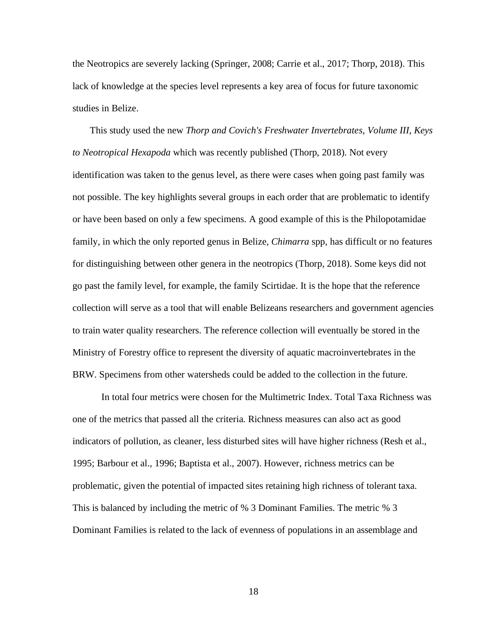the Neotropics are severely lacking (Springer, 2008; Carrie et al., 2017; Thorp, 2018). This lack of knowledge at the species level represents a key area of focus for future taxonomic studies in Belize.

This study used the new *Thorp and Covich's Freshwater Invertebrates, Volume III, Keys to Neotropical Hexapoda* which was recently published (Thorp, 2018). Not every identification was taken to the genus level, as there were cases when going past family was not possible. The key highlights several groups in each order that are problematic to identify or have been based on only a few specimens. A good example of this is the Philopotamidae family, in which the only reported genus in Belize, *Chimarra* spp, has difficult or no features for distinguishing between other genera in the neotropics (Thorp, 2018). Some keys did not go past the family level, for example, the family Scirtidae. It is the hope that the reference collection will serve as a tool that will enable Belizeans researchers and government agencies to train water quality researchers. The reference collection will eventually be stored in the Ministry of Forestry office to represent the diversity of aquatic macroinvertebrates in the BRW. Specimens from other watersheds could be added to the collection in the future.

In total four metrics were chosen for the Multimetric Index. Total Taxa Richness was one of the metrics that passed all the criteria. Richness measures can also act as good indicators of pollution, as cleaner, less disturbed sites will have higher richness (Resh et al., 1995; Barbour et al., 1996; Baptista et al., 2007). However, richness metrics can be problematic, given the potential of impacted sites retaining high richness of tolerant taxa. This is balanced by including the metric of % 3 Dominant Families. The metric % 3 Dominant Families is related to the lack of evenness of populations in an assemblage and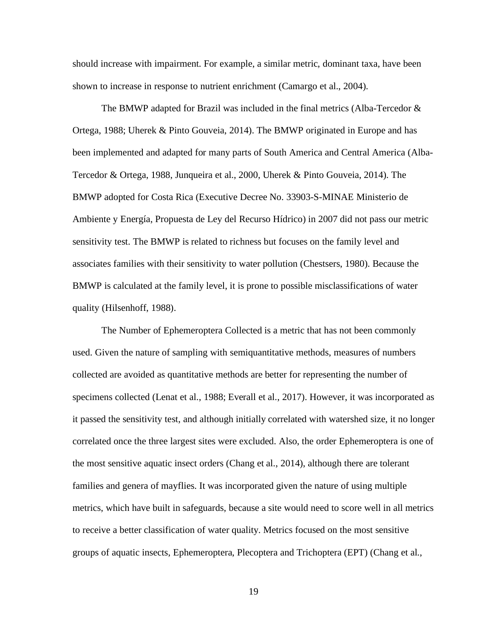should increase with impairment. For example, a similar metric, dominant taxa, have been shown to increase in response to nutrient enrichment (Camargo et al., 2004).

The BMWP adapted for Brazil was included in the final metrics (Alba-Tercedor  $\&$ Ortega, 1988; Uherek & Pinto Gouveia, 2014). The BMWP originated in Europe and has been implemented and adapted for many parts of South America and Central America (Alba-Tercedor & Ortega, 1988, Junqueira et al., 2000, Uherek & Pinto Gouveia, 2014). The BMWP adopted for Costa Rica (Executive Decree No. 33903-S-MINAE Ministerio de Ambiente y Energía, Propuesta de Ley del Recurso Hídrico) in 2007 did not pass our metric sensitivity test. The BMWP is related to richness but focuses on the family level and associates families with their sensitivity to water pollution (Chestsers, 1980). Because the BMWP is calculated at the family level, it is prone to possible misclassifications of water quality (Hilsenhoff, 1988).

The Number of Ephemeroptera Collected is a metric that has not been commonly used. Given the nature of sampling with semiquantitative methods, measures of numbers collected are avoided as quantitative methods are better for representing the number of specimens collected (Lenat et al., 1988; Everall et al., 2017). However, it was incorporated as it passed the sensitivity test, and although initially correlated with watershed size, it no longer correlated once the three largest sites were excluded. Also, the order Ephemeroptera is one of the most sensitive aquatic insect orders (Chang et al., 2014), although there are tolerant families and genera of mayflies. It was incorporated given the nature of using multiple metrics, which have built in safeguards, because a site would need to score well in all metrics to receive a better classification of water quality. Metrics focused on the most sensitive groups of aquatic insects, Ephemeroptera, Plecoptera and Trichoptera (EPT) (Chang et al.,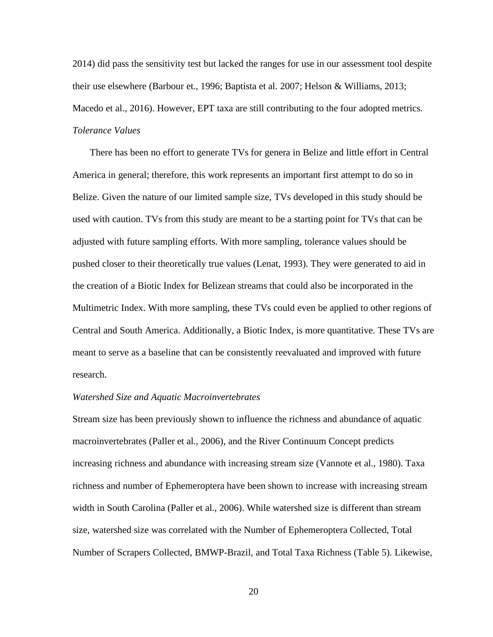2014) did pass the sensitivity test but lacked the ranges for use in our assessment tool despite their use elsewhere (Barbour et., 1996; Baptista et al. 2007; Helson & Williams, 2013; Macedo et al., 2016). However, EPT taxa are still contributing to the four adopted metrics. *Tolerance Values*

There has been no effort to generate TVs for genera in Belize and little effort in Central America in general; therefore, this work represents an important first attempt to do so in Belize. Given the nature of our limited sample size, TVs developed in this study should be used with caution. TVs from this study are meant to be a starting point for TVs that can be adjusted with future sampling efforts. With more sampling, tolerance values should be pushed closer to their theoretically true values (Lenat, 1993). They were generated to aid in the creation of a Biotic Index for Belizean streams that could also be incorporated in the Multimetric Index. With more sampling, these TVs could even be applied to other regions of Central and South America. Additionally, a Biotic Index, is more quantitative. These TVs are meant to serve as a baseline that can be consistently reevaluated and improved with future research.

#### *Watershed Size and Aquatic Macroinvertebrates*

Stream size has been previously shown to influence the richness and abundance of aquatic macroinvertebrates (Paller et al., 2006), and the River Continuum Concept predicts increasing richness and abundance with increasing stream size (Vannote et al., 1980). Taxa richness and number of Ephemeroptera have been shown to increase with increasing stream width in South Carolina (Paller et al., 2006). While watershed size is different than stream size, watershed size was correlated with the Number of Ephemeroptera Collected, Total Number of Scrapers Collected, BMWP-Brazil, and Total Taxa Richness (Table 5). Likewise,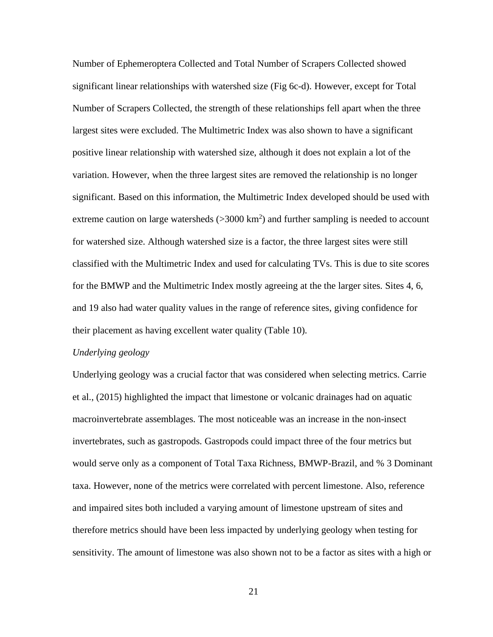Number of Ephemeroptera Collected and Total Number of Scrapers Collected showed significant linear relationships with watershed size (Fig 6c-d). However, except for Total Number of Scrapers Collected, the strength of these relationships fell apart when the three largest sites were excluded. The Multimetric Index was also shown to have a significant positive linear relationship with watershed size, although it does not explain a lot of the variation. However, when the three largest sites are removed the relationship is no longer significant. Based on this information, the Multimetric Index developed should be used with extreme caution on large watersheds  $(>3000 \text{ km}^2)$  and further sampling is needed to account for watershed size. Although watershed size is a factor, the three largest sites were still classified with the Multimetric Index and used for calculating TVs. This is due to site scores for the BMWP and the Multimetric Index mostly agreeing at the the larger sites. Sites 4, 6, and 19 also had water quality values in the range of reference sites, giving confidence for their placement as having excellent water quality (Table 10).

#### *Underlying geology*

Underlying geology was a crucial factor that was considered when selecting metrics. Carrie et al., (2015) highlighted the impact that limestone or volcanic drainages had on aquatic macroinvertebrate assemblages. The most noticeable was an increase in the non-insect invertebrates, such as gastropods. Gastropods could impact three of the four metrics but would serve only as a component of Total Taxa Richness, BMWP-Brazil, and % 3 Dominant taxa. However, none of the metrics were correlated with percent limestone. Also, reference and impaired sites both included a varying amount of limestone upstream of sites and therefore metrics should have been less impacted by underlying geology when testing for sensitivity. The amount of limestone was also shown not to be a factor as sites with a high or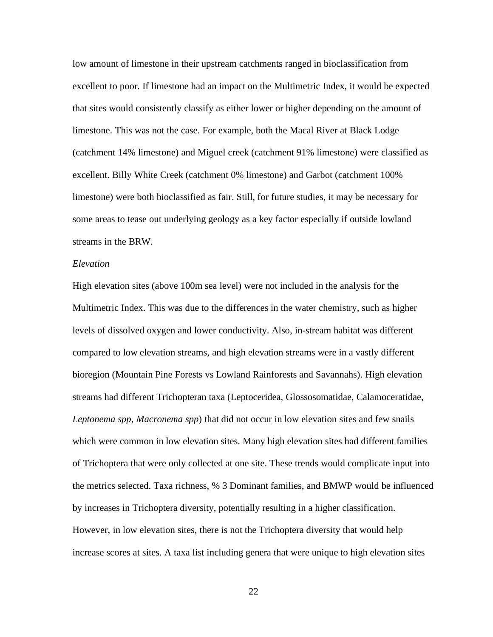low amount of limestone in their upstream catchments ranged in bioclassification from excellent to poor. If limestone had an impact on the Multimetric Index, it would be expected that sites would consistently classify as either lower or higher depending on the amount of limestone. This was not the case. For example, both the Macal River at Black Lodge (catchment 14% limestone) and Miguel creek (catchment 91% limestone) were classified as excellent. Billy White Creek (catchment 0% limestone) and Garbot (catchment 100% limestone) were both bioclassified as fair. Still, for future studies, it may be necessary for some areas to tease out underlying geology as a key factor especially if outside lowland streams in the BRW.

### *Elevation*

High elevation sites (above 100m sea level) were not included in the analysis for the Multimetric Index. This was due to the differences in the water chemistry, such as higher levels of dissolved oxygen and lower conductivity. Also, in-stream habitat was different compared to low elevation streams, and high elevation streams were in a vastly different bioregion (Mountain Pine Forests vs Lowland Rainforests and Savannahs). High elevation streams had different Trichopteran taxa (Leptoceridea, Glossosomatidae, Calamoceratidae, *Leptonema spp, Macronema spp*) that did not occur in low elevation sites and few snails which were common in low elevation sites. Many high elevation sites had different families of Trichoptera that were only collected at one site. These trends would complicate input into the metrics selected. Taxa richness, % 3 Dominant families, and BMWP would be influenced by increases in Trichoptera diversity, potentially resulting in a higher classification. However, in low elevation sites, there is not the Trichoptera diversity that would help increase scores at sites. A taxa list including genera that were unique to high elevation sites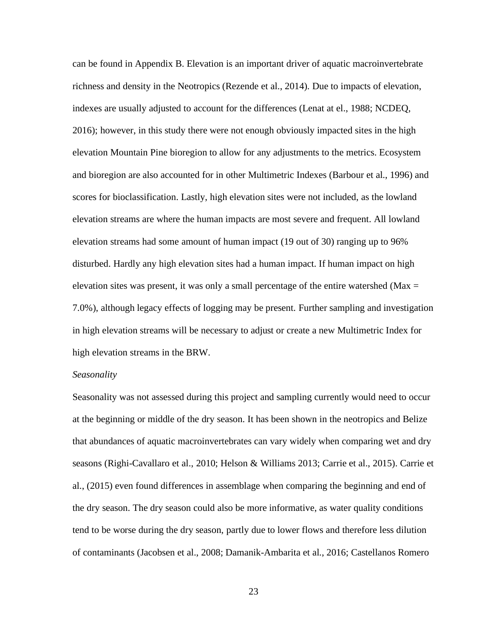can be found in Appendix B. Elevation is an important driver of aquatic macroinvertebrate richness and density in the Neotropics (Rezende et al., 2014). Due to impacts of elevation, indexes are usually adjusted to account for the differences (Lenat at el., 1988; NCDEQ, 2016); however, in this study there were not enough obviously impacted sites in the high elevation Mountain Pine bioregion to allow for any adjustments to the metrics. Ecosystem and bioregion are also accounted for in other Multimetric Indexes (Barbour et al., 1996) and scores for bioclassification. Lastly, high elevation sites were not included, as the lowland elevation streams are where the human impacts are most severe and frequent. All lowland elevation streams had some amount of human impact (19 out of 30) ranging up to 96% disturbed. Hardly any high elevation sites had a human impact. If human impact on high elevation sites was present, it was only a small percentage of the entire watershed ( $Max =$ 7.0%), although legacy effects of logging may be present. Further sampling and investigation in high elevation streams will be necessary to adjust or create a new Multimetric Index for high elevation streams in the BRW.

# *Seasonality*

Seasonality was not assessed during this project and sampling currently would need to occur at the beginning or middle of the dry season. It has been shown in the neotropics and Belize that abundances of aquatic macroinvertebrates can vary widely when comparing wet and dry seasons (Righi-Cavallaro et al., 2010; Helson & Williams 2013; Carrie et al., 2015). Carrie et al., (2015) even found differences in assemblage when comparing the beginning and end of the dry season. The dry season could also be more informative, as water quality conditions tend to be worse during the dry season, partly due to lower flows and therefore less dilution of contaminants (Jacobsen et al., 2008; Damanik-Ambarita et al., 2016; Castellanos Romero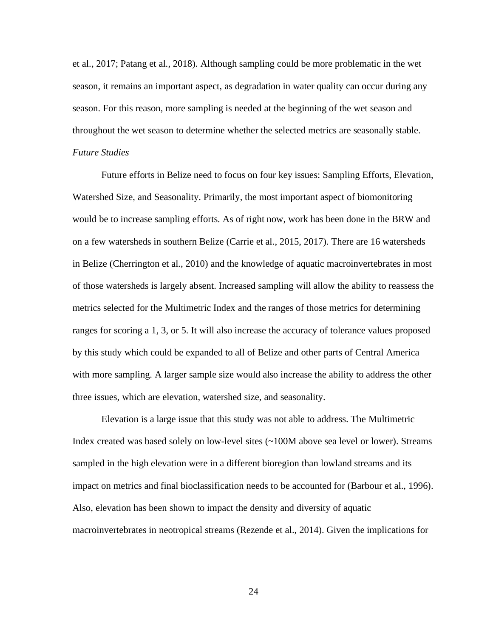et al., 2017; Patang et al., 2018). Although sampling could be more problematic in the wet season, it remains an important aspect, as degradation in water quality can occur during any season. For this reason, more sampling is needed at the beginning of the wet season and throughout the wet season to determine whether the selected metrics are seasonally stable. *Future Studies*

Future efforts in Belize need to focus on four key issues: Sampling Efforts, Elevation, Watershed Size, and Seasonality. Primarily, the most important aspect of biomonitoring would be to increase sampling efforts. As of right now, work has been done in the BRW and on a few watersheds in southern Belize (Carrie et al., 2015, 2017). There are 16 watersheds in Belize (Cherrington et al., 2010) and the knowledge of aquatic macroinvertebrates in most of those watersheds is largely absent. Increased sampling will allow the ability to reassess the metrics selected for the Multimetric Index and the ranges of those metrics for determining ranges for scoring a 1, 3, or 5. It will also increase the accuracy of tolerance values proposed by this study which could be expanded to all of Belize and other parts of Central America with more sampling. A larger sample size would also increase the ability to address the other three issues, which are elevation, watershed size, and seasonality.

Elevation is a large issue that this study was not able to address. The Multimetric Index created was based solely on low-level sites (~100M above sea level or lower). Streams sampled in the high elevation were in a different bioregion than lowland streams and its impact on metrics and final bioclassification needs to be accounted for (Barbour et al., 1996). Also, elevation has been shown to impact the density and diversity of aquatic macroinvertebrates in neotropical streams (Rezende et al., 2014). Given the implications for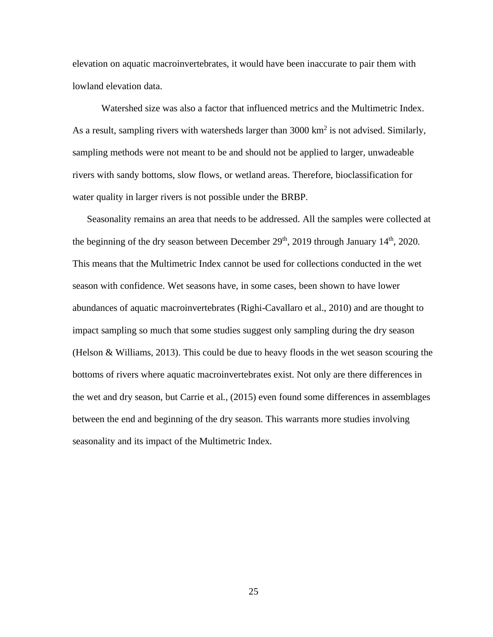elevation on aquatic macroinvertebrates, it would have been inaccurate to pair them with lowland elevation data.

Watershed size was also a factor that influenced metrics and the Multimetric Index. As a result, sampling rivers with watersheds larger than  $3000 \text{ km}^2$  is not advised. Similarly, sampling methods were not meant to be and should not be applied to larger, unwadeable rivers with sandy bottoms, slow flows, or wetland areas. Therefore, bioclassification for water quality in larger rivers is not possible under the BRBP.

Seasonality remains an area that needs to be addressed. All the samples were collected at the beginning of the dry season between December  $29<sup>th</sup>$ , 2019 through January  $14<sup>th</sup>$ , 2020. This means that the Multimetric Index cannot be used for collections conducted in the wet season with confidence. Wet seasons have, in some cases, been shown to have lower abundances of aquatic macroinvertebrates (Righi-Cavallaro et al., 2010) and are thought to impact sampling so much that some studies suggest only sampling during the dry season (Helson & Williams, 2013). This could be due to heavy floods in the wet season scouring the bottoms of rivers where aquatic macroinvertebrates exist. Not only are there differences in the wet and dry season, but Carrie et al., (2015) even found some differences in assemblages between the end and beginning of the dry season. This warrants more studies involving seasonality and its impact of the Multimetric Index.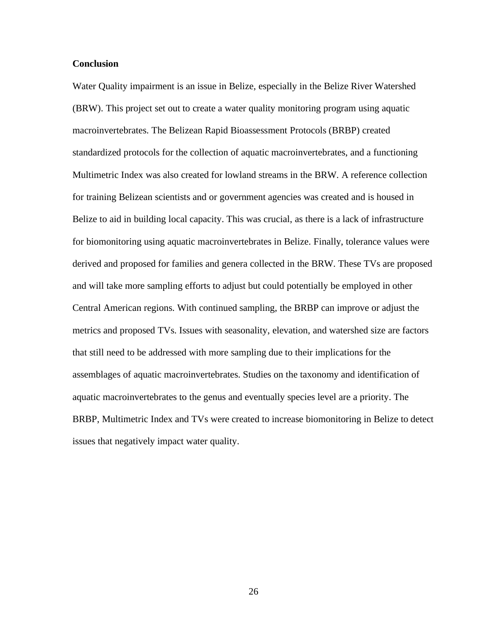# **Conclusion**

Water Quality impairment is an issue in Belize, especially in the Belize River Watershed (BRW). This project set out to create a water quality monitoring program using aquatic macroinvertebrates. The Belizean Rapid Bioassessment Protocols (BRBP) created standardized protocols for the collection of aquatic macroinvertebrates, and a functioning Multimetric Index was also created for lowland streams in the BRW. A reference collection for training Belizean scientists and or government agencies was created and is housed in Belize to aid in building local capacity. This was crucial, as there is a lack of infrastructure for biomonitoring using aquatic macroinvertebrates in Belize. Finally, tolerance values were derived and proposed for families and genera collected in the BRW. These TVs are proposed and will take more sampling efforts to adjust but could potentially be employed in other Central American regions. With continued sampling, the BRBP can improve or adjust the metrics and proposed TVs. Issues with seasonality, elevation, and watershed size are factors that still need to be addressed with more sampling due to their implications for the assemblages of aquatic macroinvertebrates. Studies on the taxonomy and identification of aquatic macroinvertebrates to the genus and eventually species level are a priority. The BRBP, Multimetric Index and TVs were created to increase biomonitoring in Belize to detect issues that negatively impact water quality.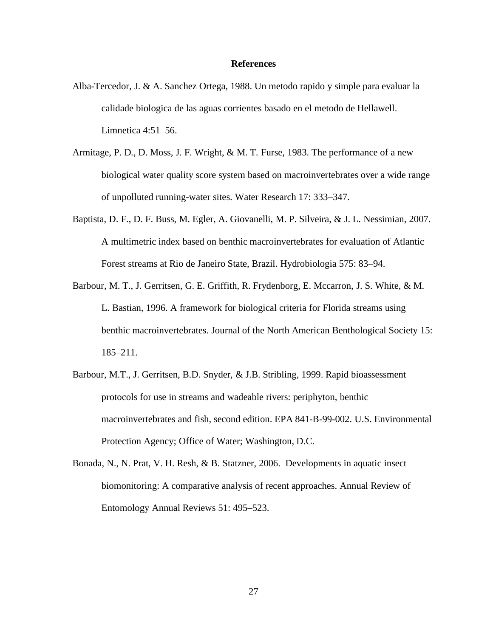#### **References**

- Alba-Tercedor, J. & A. Sanchez Ortega, 1988. Un metodo rapido y simple para evaluar la calidade biologica de las aguas corrientes basado en el metodo de Hellawell. Limnetica 4:51–56.
- Armitage, P. D., D. Moss, J. F. Wright, & M. T. Furse, 1983. The performance of a new biological water quality score system based on macroinvertebrates over a wide range of unpolluted running-water sites. Water Research 17: 333–347.
- Baptista, D. F., D. F. Buss, M. Egler, A. Giovanelli, M. P. Silveira, & J. L. Nessimian, 2007. A multimetric index based on benthic macroinvertebrates for evaluation of Atlantic Forest streams at Rio de Janeiro State, Brazil. Hydrobiologia 575: 83–94.
- Barbour, M. T., J. Gerritsen, G. E. Griffith, R. Frydenborg, E. Mccarron, J. S. White, & M. L. Bastian, 1996. A framework for biological criteria for Florida streams using benthic macroinvertebrates. Journal of the North American Benthological Society 15: 185–211.
- Barbour, M.T., J. Gerritsen, B.D. Snyder, & J.B. Stribling, 1999. Rapid bioassessment protocols for use in streams and wadeable rivers: periphyton, benthic macroinvertebrates and fish, second edition. EPA 841-B-99-002. U.S. Environmental Protection Agency; Office of Water; Washington, D.C.
- Bonada, N., N. Prat, V. H. Resh, & B. Statzner, 2006. Developments in aquatic insect biomonitoring: A comparative analysis of recent approaches. Annual Review of Entomology Annual Reviews 51: 495–523.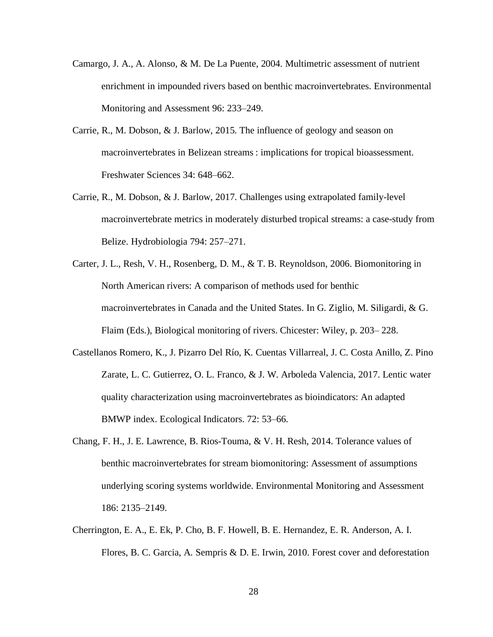- Camargo, J. A., A. Alonso, & M. De La Puente, 2004. Multimetric assessment of nutrient enrichment in impounded rivers based on benthic macroinvertebrates. Environmental Monitoring and Assessment 96: 233–249.
- Carrie, R., M. Dobson, & J. Barlow, 2015. The influence of geology and season on macroinvertebrates in Belizean streams : implications for tropical bioassessment. Freshwater Sciences 34: 648–662.
- Carrie, R., M. Dobson, & J. Barlow, 2017. Challenges using extrapolated family-level macroinvertebrate metrics in moderately disturbed tropical streams: a case-study from Belize. Hydrobiologia 794: 257–271.
- Carter, J. L., Resh, V. H., Rosenberg, D. M., & T. B. Reynoldson, 2006. Biomonitoring in North American rivers: A comparison of methods used for benthic macroinvertebrates in Canada and the United States. In G. Ziglio, M. Siligardi, & G. Flaim (Eds.), Biological monitoring of rivers. Chicester: Wiley, p. 203– 228.
- Castellanos Romero, K., J. Pizarro Del Río, K. Cuentas Villarreal, J. C. Costa Anillo, Z. Pino Zarate, L. C. Gutierrez, O. L. Franco, & J. W. Arboleda Valencia, 2017. Lentic water quality characterization using macroinvertebrates as bioindicators: An adapted BMWP index. Ecological Indicators. 72: 53–66.
- Chang, F. H., J. E. Lawrence, B. Rios-Touma, & V. H. Resh, 2014. Tolerance values of benthic macroinvertebrates for stream biomonitoring: Assessment of assumptions underlying scoring systems worldwide. Environmental Monitoring and Assessment 186: 2135–2149.
- Cherrington, E. A., E. Ek, P. Cho, B. F. Howell, B. E. Hernandez, E. R. Anderson, A. I. Flores, B. C. Garcia, A. Sempris & D. E. Irwin, 2010. Forest cover and deforestation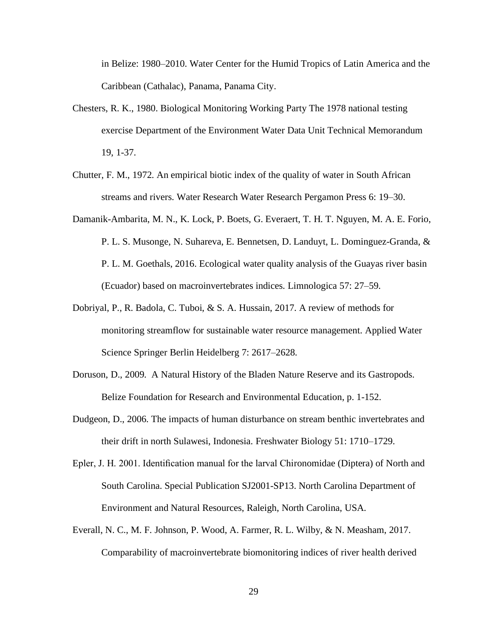in Belize: 1980–2010. Water Center for the Humid Tropics of Latin America and the Caribbean (Cathalac), Panama, Panama City.

- Chesters, R. K., 1980. Biological Monitoring Working Party The 1978 national testing exercise Department of the Environment Water Data Unit Technical Memorandum 19, 1-37.
- Chutter, F. M., 1972. An empirical biotic index of the quality of water in South African streams and rivers. Water Research Water Research Pergamon Press 6: 19–30.
- Damanik-Ambarita, M. N., K. Lock, P. Boets, G. Everaert, T. H. T. Nguyen, M. A. E. Forio, P. L. S. Musonge, N. Suhareva, E. Bennetsen, D. Landuyt, L. Dominguez-Granda, & P. L. M. Goethals, 2016. Ecological water quality analysis of the Guayas river basin (Ecuador) based on macroinvertebrates indices. Limnologica 57: 27–59.
- Dobriyal, P., R. Badola, C. Tuboi, & S. A. Hussain, 2017. A review of methods for monitoring streamflow for sustainable water resource management. Applied Water Science Springer Berlin Heidelberg 7: 2617–2628.
- Doruson, D., 2009. A Natural History of the Bladen Nature Reserve and its Gastropods. Belize Foundation for Research and Environmental Education, p. 1-152.
- Dudgeon, D., 2006. The impacts of human disturbance on stream benthic invertebrates and their drift in north Sulawesi, Indonesia. Freshwater Biology 51: 1710–1729.
- Epler, J. H. 2001. Identification manual for the larval Chironomidae (Diptera) of North and South Carolina. Special Publication SJ2001-SP13. North Carolina Department of Environment and Natural Resources, Raleigh, North Carolina, USA.
- Everall, N. C., M. F. Johnson, P. Wood, A. Farmer, R. L. Wilby, & N. Measham, 2017. Comparability of macroinvertebrate biomonitoring indices of river health derived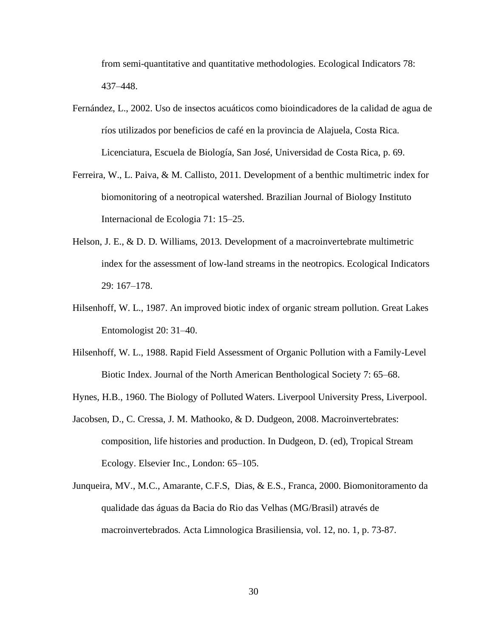from semi-quantitative and quantitative methodologies. Ecological Indicators 78: 437–448.

- Fernández, L., 2002. Uso de insectos acuáticos como bioindicadores de la calidad de agua de ríos utilizados por beneficios de café en la provincia de Alajuela, Costa Rica. Licenciatura, Escuela de Biología, San José, Universidad de Costa Rica, p. 69.
- Ferreira, W., L. Paiva, & M. Callisto, 2011. Development of a benthic multimetric index for biomonitoring of a neotropical watershed. Brazilian Journal of Biology Instituto Internacional de Ecologia 71: 15–25.
- Helson, J. E., & D. D. Williams, 2013. Development of a macroinvertebrate multimetric index for the assessment of low-land streams in the neotropics. Ecological Indicators 29: 167–178.
- Hilsenhoff, W. L., 1987. An improved biotic index of organic stream pollution. Great Lakes Entomologist 20: 31–40.
- Hilsenhoff, W. L., 1988. Rapid Field Assessment of Organic Pollution with a Family-Level Biotic Index. Journal of the North American Benthological Society 7: 65–68.
- Hynes, H.B., 1960. The Biology of Polluted Waters. Liverpool University Press, Liverpool.
- Jacobsen, D., C. Cressa, J. M. Mathooko, & D. Dudgeon, 2008. Macroinvertebrates: composition, life histories and production. In Dudgeon, D. (ed), Tropical Stream Ecology. Elsevier Inc., London: 65–105.
- Junqueira, MV., M.C., Amarante, C.F.S, Dias, & E.S., Franca, 2000. Biomonitoramento da qualidade das águas da Bacia do Rio das Velhas (MG/Brasil) através de macroinvertebrados. Acta Limnologica Brasiliensia, vol. 12, no. 1, p. 73-87.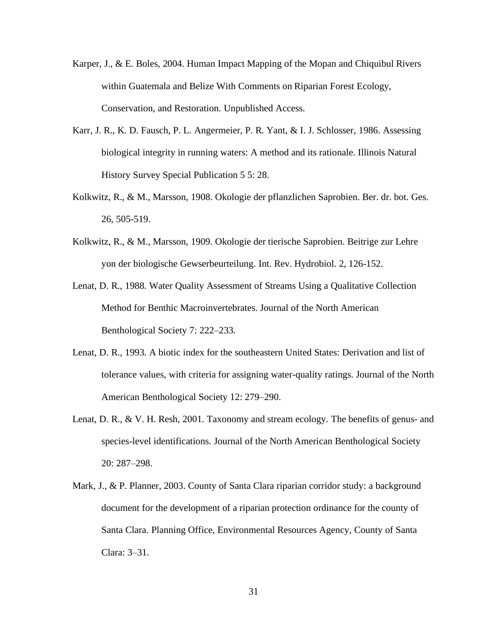- Karper, J., & E. Boles, 2004. Human Impact Mapping of the Mopan and Chiquibul Rivers within Guatemala and Belize With Comments on Riparian Forest Ecology, Conservation, and Restoration. Unpublished Access.
- Karr, J. R., K. D. Fausch, P. L. Angermeier, P. R. Yant, & I. J. Schlosser, 1986. Assessing biological integrity in running waters: A method and its rationale. Illinois Natural History Survey Special Publication 5 5: 28.
- Kolkwitz, R., & M., Marsson, 1908. Okologie der pflanzlichen Saprobien. Ber. dr. bot. Ges. 26, 505-519.
- Kolkwitz, R., & M., Marsson, 1909. Okologie der tierische Saprobien. Beitrige zur Lehre yon der biologische Gewserbeurteilung. Int. Rev. Hydrobiol. 2, 126-152.
- Lenat, D. R., 1988. Water Quality Assessment of Streams Using a Qualitative Collection Method for Benthic Macroinvertebrates. Journal of the North American Benthological Society 7: 222–233.
- Lenat, D. R., 1993. A biotic index for the southeastern United States: Derivation and list of tolerance values, with criteria for assigning water-quality ratings. Journal of the North American Benthological Society 12: 279–290.
- Lenat, D. R., & V. H. Resh, 2001. Taxonomy and stream ecology. The benefits of genus- and species-level identifications. Journal of the North American Benthological Society 20: 287–298.
- Mark, J., & P. Planner, 2003. County of Santa Clara riparian corridor study: a background document for the development of a riparian protection ordinance for the county of Santa Clara. Planning Office, Environmental Resources Agency, County of Santa Clara: 3–31.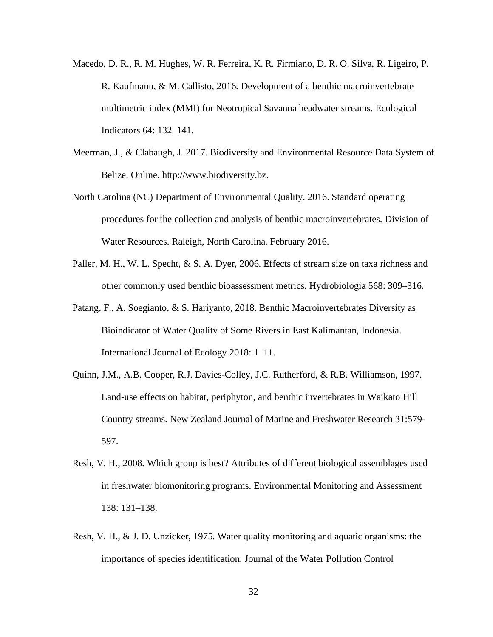- Macedo, D. R., R. M. Hughes, W. R. Ferreira, K. R. Firmiano, D. R. O. Silva, R. Ligeiro, P. R. Kaufmann, & M. Callisto, 2016. Development of a benthic macroinvertebrate multimetric index (MMI) for Neotropical Savanna headwater streams. Ecological Indicators 64: 132–141.
- Meerman, J., & Clabaugh, J. 2017. Biodiversity and Environmental Resource Data System of Belize. Online. http://www.biodiversity.bz.
- North Carolina (NC) Department of Environmental Quality. 2016. Standard operating procedures for the collection and analysis of benthic macroinvertebrates. Division of Water Resources. Raleigh, North Carolina. February 2016.
- Paller, M. H., W. L. Specht, & S. A. Dyer, 2006. Effects of stream size on taxa richness and other commonly used benthic bioassessment metrics. Hydrobiologia 568: 309–316.
- Patang, F., A. Soegianto, & S. Hariyanto, 2018. Benthic Macroinvertebrates Diversity as Bioindicator of Water Quality of Some Rivers in East Kalimantan, Indonesia. International Journal of Ecology 2018: 1–11.
- Quinn, J.M., A.B. Cooper, R.J. Davies-Colley, J.C. Rutherford, & R.B. Williamson, 1997. Land-use effects on habitat, periphyton, and benthic invertebrates in Waikato Hill Country streams. New Zealand Journal of Marine and Freshwater Research 31:579- 597.
- Resh, V. H., 2008. Which group is best? Attributes of different biological assemblages used in freshwater biomonitoring programs. Environmental Monitoring and Assessment 138: 131–138.
- Resh, V. H., & J. D. Unzicker, 1975. Water quality monitoring and aquatic organisms: the importance of species identification. Journal of the Water Pollution Control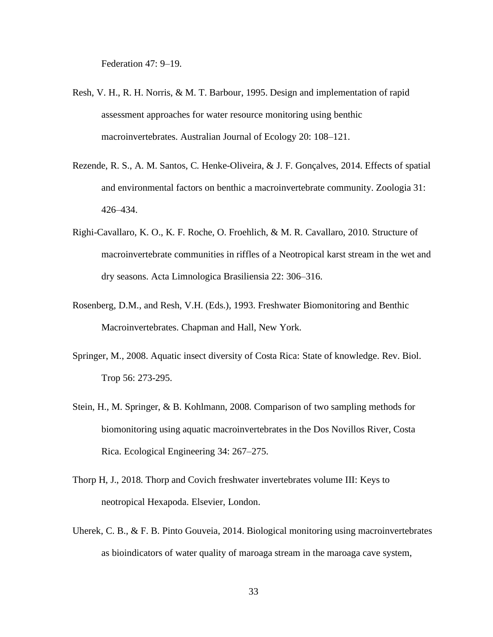Federation 47: 9–19.

- Resh, V. H., R. H. Norris, & M. T. Barbour, 1995. Design and implementation of rapid assessment approaches for water resource monitoring using benthic macroinvertebrates. Australian Journal of Ecology 20: 108–121.
- Rezende, R. S., A. M. Santos, C. Henke-Oliveira, & J. F. Gonçalves, 2014. Effects of spatial and environmental factors on benthic a macroinvertebrate community. Zoologia 31: 426–434.
- Righi-Cavallaro, K. O., K. F. Roche, O. Froehlich, & M. R. Cavallaro, 2010. Structure of macroinvertebrate communities in riffles of a Neotropical karst stream in the wet and dry seasons. Acta Limnologica Brasiliensia 22: 306–316.
- Rosenberg, D.M., and Resh, V.H. (Eds.), 1993. Freshwater Biomonitoring and Benthic Macroinvertebrates. Chapman and Hall, New York.
- Springer, M., 2008. Aquatic insect diversity of Costa Rica: State of knowledge. Rev. Biol. Trop 56: 273-295.
- Stein, H., M. Springer, & B. Kohlmann, 2008. Comparison of two sampling methods for biomonitoring using aquatic macroinvertebrates in the Dos Novillos River, Costa Rica. Ecological Engineering 34: 267–275.
- Thorp H, J., 2018. Thorp and Covich freshwater invertebrates volume III: Keys to neotropical Hexapoda. Elsevier, London.
- Uherek, C. B., & F. B. Pinto Gouveia, 2014. Biological monitoring using macroinvertebrates as bioindicators of water quality of maroaga stream in the maroaga cave system,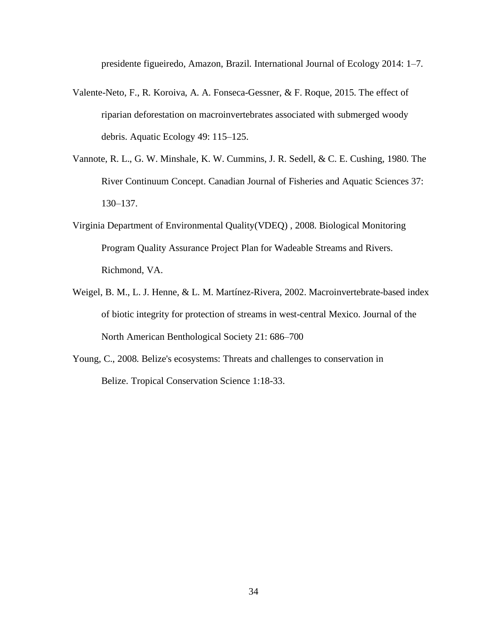presidente figueiredo, Amazon, Brazil. International Journal of Ecology 2014: 1–7.

- Valente-Neto, F., R. Koroiva, A. A. Fonseca-Gessner, & F. Roque, 2015. The effect of riparian deforestation on macroinvertebrates associated with submerged woody debris. Aquatic Ecology 49: 115–125.
- Vannote, R. L., G. W. Minshale, K. W. Cummins, J. R. Sedell, & C. E. Cushing, 1980. The River Continuum Concept. Canadian Journal of Fisheries and Aquatic Sciences 37: 130–137.
- Virginia Department of Environmental Quality(VDEQ) , 2008. Biological Monitoring Program Quality Assurance Project Plan for Wadeable Streams and Rivers. Richmond, VA.
- Weigel, B. M., L. J. Henne, & L. M. Martínez-Rivera, 2002. Macroinvertebrate-based index of biotic integrity for protection of streams in west-central Mexico. Journal of the North American Benthological Society 21: 686–700
- Young, C., 2008. Belize's ecosystems: Threats and challenges to conservation in Belize. Tropical Conservation Science 1:18-33.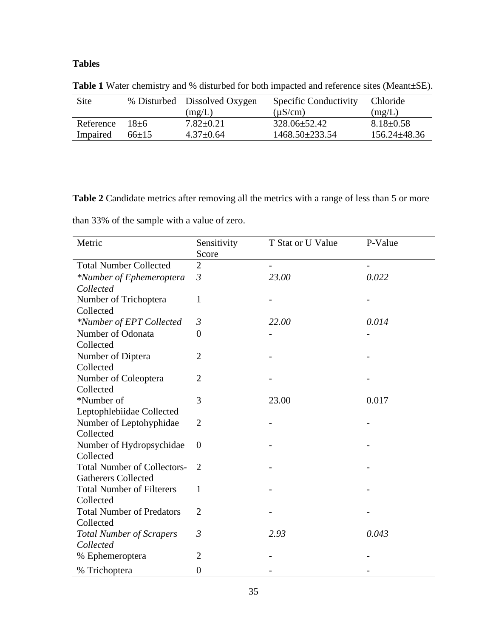## **Tables**

| <b>Site</b> |             | % Disturbed Dissolved Oxygen | Specific Conductivity | <b>Chloride</b>    |
|-------------|-------------|------------------------------|-----------------------|--------------------|
|             |             | (mg/L)                       | $(\mu S/cm)$          | (mg/L)             |
| Reference   | $18 + 6$    | $7.82 \pm 0.21$              | $328.06 \pm 52.42$    | $8.18 \pm 0.58$    |
| Impaired    | $66 \pm 15$ | $4.37 \pm 0.64$              | $1468.50 \pm 233.54$  | $156.24 \pm 48.36$ |

**Table 1** Water chemistry and % disturbed for both impacted and reference sites (Meant±SE).

Table 2 Candidate metrics after removing all the metrics with a range of less than 5 or more

than 33% of the sample with a value of zero.

| Metric                             | Sensitivity      | T Stat or U Value | P-Value |
|------------------------------------|------------------|-------------------|---------|
|                                    | Score            |                   |         |
| <b>Total Number Collected</b>      | $\overline{2}$   |                   |         |
| *Number of Ephemeroptera           | $\mathfrak{Z}$   | 23.00             | 0.022   |
| Collected                          |                  |                   |         |
| Number of Trichoptera              | $\mathbf{1}$     |                   |         |
| Collected                          |                  |                   |         |
| *Number of EPT Collected           | $\mathfrak{Z}$   | 22.00             | 0.014   |
| Number of Odonata                  | $\overline{0}$   |                   |         |
| Collected                          |                  |                   |         |
| Number of Diptera                  | $\overline{2}$   |                   |         |
| Collected                          |                  |                   |         |
| Number of Coleoptera               | $\overline{2}$   |                   |         |
| Collected                          |                  |                   |         |
| *Number of                         | 3                | 23.00             | 0.017   |
| Leptophlebiidae Collected          |                  |                   |         |
| Number of Leptohyphidae            | $\overline{2}$   |                   |         |
| Collected                          |                  |                   |         |
| Number of Hydropsychidae           | $\overline{0}$   |                   |         |
| Collected                          |                  |                   |         |
| <b>Total Number of Collectors-</b> | $\overline{2}$   |                   |         |
| <b>Gatherers Collected</b>         |                  |                   |         |
| <b>Total Number of Filterers</b>   | $\mathbf{1}$     |                   |         |
| Collected                          |                  |                   |         |
| <b>Total Number of Predators</b>   | $\overline{2}$   |                   |         |
| Collected                          |                  |                   |         |
| <b>Total Number of Scrapers</b>    | $\mathfrak{Z}$   | 2.93              | 0.043   |
| Collected                          |                  |                   |         |
| % Ephemeroptera                    | 2                |                   |         |
| % Trichoptera                      | $\boldsymbol{0}$ |                   |         |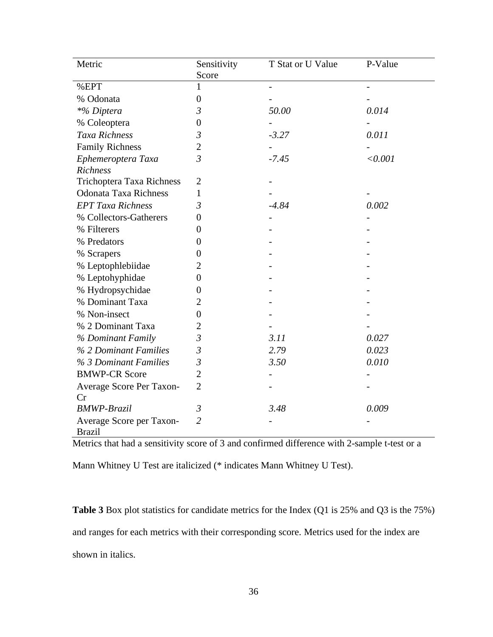| Metric                                    | Sensitivity    | T Stat or U Value | P-Value |
|-------------------------------------------|----------------|-------------------|---------|
|                                           | Score          |                   |         |
| %EPT                                      | 1              |                   |         |
| % Odonata                                 | $\overline{0}$ |                   |         |
| *% Diptera                                | $\mathfrak{Z}$ | 50.00             | 0.014   |
| % Coleoptera                              | $\theta$       |                   |         |
| Taxa Richness                             | 3              | $-3.27$           | 0.011   |
| <b>Family Richness</b>                    | $\overline{c}$ |                   |         |
| Ephemeroptera Taxa                        | $\overline{3}$ | $-7.45$           | < 0.001 |
| <b>Richness</b>                           |                |                   |         |
| Trichoptera Taxa Richness                 | $\overline{2}$ |                   |         |
| <b>Odonata Taxa Richness</b>              | $\mathbf{1}$   |                   |         |
| <b>EPT Taxa Richness</b>                  | $\mathfrak{Z}$ | $-4.84$           | 0.002   |
| % Collectors-Gatherers                    | $\overline{0}$ |                   |         |
| % Filterers                               | 0              |                   |         |
| % Predators                               | $\theta$       |                   |         |
| % Scrapers                                | $\overline{0}$ |                   |         |
| % Leptophlebiidae                         | 2              |                   |         |
| % Leptohyphidae                           | $\theta$       |                   |         |
| % Hydropsychidae                          | $\theta$       |                   |         |
| % Dominant Taxa                           | 2              |                   |         |
| % Non-insect                              | $\overline{0}$ |                   |         |
| % 2 Dominant Taxa                         | 2              |                   |         |
| % Dominant Family                         | $\mathfrak{Z}$ | 3.11              | 0.027   |
| % 2 Dominant Families                     | $\mathfrak{Z}$ | 2.79              | 0.023   |
| % 3 Dominant Families                     | $\mathfrak{Z}$ | 3.50              | 0.010   |
| <b>BMWP-CR Score</b>                      | $\overline{2}$ |                   |         |
| Average Score Per Taxon-                  | $\overline{2}$ |                   |         |
| Cr                                        |                |                   |         |
| <b>BMWP-Brazil</b>                        | 3              | 3.48              | 0.009   |
| Average Score per Taxon-<br><b>Brazil</b> | $\overline{2}$ |                   |         |

Metrics that had a sensitivity score of 3 and confirmed difference with 2-sample t-test or a

Mann Whitney U Test are italicized (\* indicates Mann Whitney U Test).

**Table 3** Box plot statistics for candidate metrics for the Index (Q1 is 25% and Q3 is the 75%) and ranges for each metrics with their corresponding score. Metrics used for the index are shown in italics.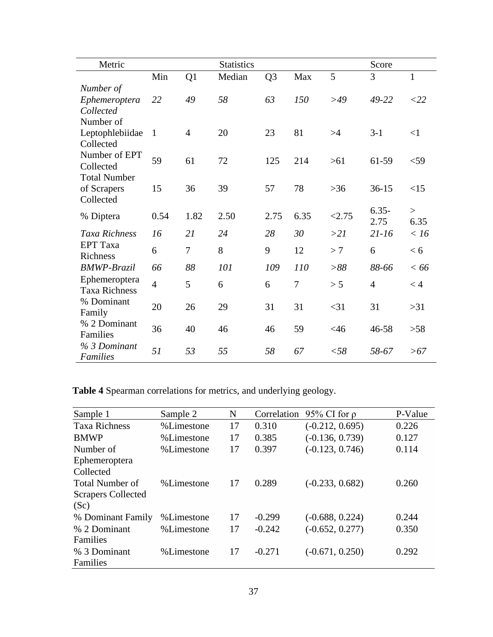| Metric                                               |                |                | <b>Statistics</b> |                |                |        | Score            |                |
|------------------------------------------------------|----------------|----------------|-------------------|----------------|----------------|--------|------------------|----------------|
|                                                      | Min            | Q1             | Median            | Q <sub>3</sub> | Max            | 5      | 3                | $\mathbf{1}$   |
| Number of<br>Ephemeroptera<br>Collected<br>Number of | 22             | 49             | 58                | 63             | 150            | >49    | 49-22            | $<$ 22         |
| Leptophlebiidae<br>Collected                         | $\mathbf{1}$   | $\overline{4}$ | 20                | 23             | 81             | >4     | $3-1$            | $<$ 1          |
| Number of EPT<br>Collected<br><b>Total Number</b>    | 59             | 61             | 72                | 125            | 214            | $>61$  | 61-59            | $<$ 59         |
| of Scrapers<br>Collected                             | 15             | 36             | 39                | 57             | 78             | $>36$  | $36-15$          | <15            |
| % Diptera                                            | 0.54           | 1.82           | 2.50              | 2.75           | 6.35           | < 2.75 | $6.35 -$<br>2.75 | $\geq$<br>6.35 |
| Taxa Richness                                        | 16             | 21             | 24                | 28             | 30             | >21    | $21 - 16$        | < 16           |
| <b>EPT</b> Taxa<br>Richness                          | 6              | 7              | 8                 | 9              | 12             | >7     | 6                | < 6            |
| <b>BMWP-Brazil</b>                                   | 66             | 88             | 101               | 109            | 110            | >88    | 88-66            | < 66           |
| Ephemeroptera<br><b>Taxa Richness</b>                | $\overline{4}$ | 5              | 6                 | 6              | $\overline{7}$ | > 5    | $\overline{4}$   | < 4            |
| % Dominant<br>Family                                 | 20             | 26             | 29                | 31             | 31             | $<$ 31 | 31               | $>31$          |
| % 2 Dominant<br>Families                             | 36             | 40             | 46                | 46             | 59             | <46    | 46-58            | $>58$          |
| % 3 Dominant<br><b>Families</b>                      | 51             | 53             | 55                | 58             | 67             | $<$ 58 | 58-67            | >67            |

**Table 4** Spearman correlations for metrics, and underlying geology.

| Sample 1                  | Sample 2   | N  | Correlation | 95% CI for $\rho$ | P-Value |
|---------------------------|------------|----|-------------|-------------------|---------|
| <b>Taxa Richness</b>      | %Limestone | 17 | 0.310       | $(-0.212, 0.695)$ | 0.226   |
| <b>BMWP</b>               | %Limestone | 17 | 0.385       | $(-0.136, 0.739)$ | 0.127   |
| Number of                 | %Limestone | 17 | 0.397       | $(-0.123, 0.746)$ | 0.114   |
| Ephemeroptera             |            |    |             |                   |         |
| Collected                 |            |    |             |                   |         |
| <b>Total Number of</b>    | %Limestone | 17 | 0.289       | $(-0.233, 0.682)$ | 0.260   |
| <b>Scrapers Collected</b> |            |    |             |                   |         |
| (Sc)                      |            |    |             |                   |         |
| % Dominant Family         | %Limestone | 17 | $-0.299$    | $(-0.688, 0.224)$ | 0.244   |
| % 2 Dominant              | %Limestone | 17 | $-0.242$    | $(-0.652, 0.277)$ | 0.350   |
| <b>Families</b>           |            |    |             |                   |         |
| % 3 Dominant              | %Limestone | 17 | $-0.271$    | $(-0.671, 0.250)$ | 0.292   |
| Families                  |            |    |             |                   |         |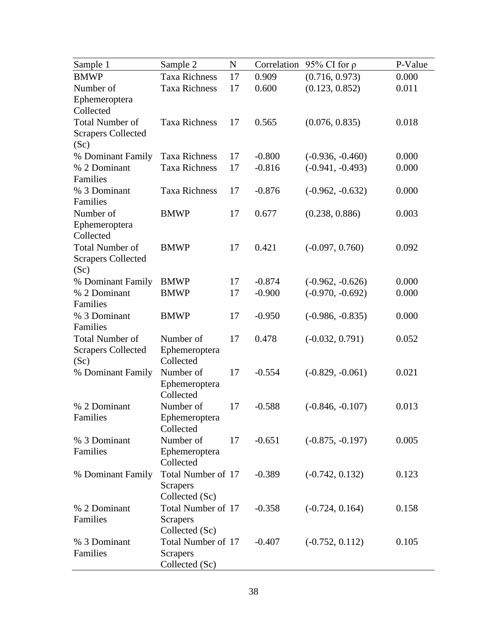| Sample 1                  | Sample 2             | N  | Correlation | 95% CI for $\rho$  | P-Value |
|---------------------------|----------------------|----|-------------|--------------------|---------|
| <b>BMWP</b>               | <b>Taxa Richness</b> | 17 | 0.909       | (0.716, 0.973)     | 0.000   |
| Number of                 | <b>Taxa Richness</b> | 17 | 0.600       | (0.123, 0.852)     | 0.011   |
| Ephemeroptera             |                      |    |             |                    |         |
| Collected                 |                      |    |             |                    |         |
| <b>Total Number of</b>    | <b>Taxa Richness</b> | 17 | 0.565       | (0.076, 0.835)     | 0.018   |
| <b>Scrapers Collected</b> |                      |    |             |                    |         |
| (Sc)                      |                      |    |             |                    |         |
| % Dominant Family         | <b>Taxa Richness</b> | 17 | $-0.800$    | $(-0.936, -0.460)$ | 0.000   |
| % 2 Dominant              | <b>Taxa Richness</b> | 17 | $-0.816$    | $(-0.941, -0.493)$ | 0.000   |
| Families                  |                      |    |             |                    |         |
| % 3 Dominant              | <b>Taxa Richness</b> | 17 | $-0.876$    | $(-0.962, -0.632)$ | 0.000   |
| Families                  |                      |    |             |                    |         |
| Number of                 | <b>BMWP</b>          | 17 | 0.677       | (0.238, 0.886)     | 0.003   |
| Ephemeroptera             |                      |    |             |                    |         |
| Collected                 |                      |    |             |                    |         |
| <b>Total Number of</b>    | <b>BMWP</b>          | 17 | 0.421       | $(-0.097, 0.760)$  | 0.092   |
| <b>Scrapers Collected</b> |                      |    |             |                    |         |
| (Sc)                      |                      |    |             |                    |         |
| % Dominant Family         | <b>BMWP</b>          | 17 | $-0.874$    | $(-0.962, -0.626)$ | 0.000   |
| % 2 Dominant              | <b>BMWP</b>          | 17 | $-0.900$    | $(-0.970, -0.692)$ | 0.000   |
| Families                  |                      |    |             |                    |         |
| % 3 Dominant              | <b>BMWP</b>          | 17 | $-0.950$    | $(-0.986, -0.835)$ | 0.000   |
| Families                  |                      |    |             |                    |         |
| <b>Total Number of</b>    | Number of            | 17 | 0.478       | $(-0.032, 0.791)$  | 0.052   |
| <b>Scrapers Collected</b> | Ephemeroptera        |    |             |                    |         |
| (Sc)                      | Collected            |    |             |                    |         |
| % Dominant Family         | Number of            | 17 | $-0.554$    | $(-0.829, -0.061)$ | 0.021   |
|                           | Ephemeroptera        |    |             |                    |         |
|                           | Collected            |    |             |                    |         |
| % 2 Dominant              | Number of            | 17 | $-0.588$    | $(-0.846, -0.107)$ | 0.013   |
| Families                  | Ephemeroptera        |    |             |                    |         |
|                           | Collected            |    |             |                    |         |
| % 3 Dominant              | Number of            | 17 | $-0.651$    | $(-0.875, -0.197)$ | 0.005   |
| Families                  | Ephemeroptera        |    |             |                    |         |
|                           | Collected            |    |             |                    |         |
| % Dominant Family         | Total Number of 17   |    | $-0.389$    | $(-0.742, 0.132)$  | 0.123   |
|                           | <b>Scrapers</b>      |    |             |                    |         |
|                           | Collected (Sc)       |    |             |                    |         |
| % 2 Dominant              | Total Number of 17   |    | $-0.358$    | $(-0.724, 0.164)$  | 0.158   |
| Families                  | <b>Scrapers</b>      |    |             |                    |         |
|                           | Collected (Sc)       |    |             |                    |         |
| % 3 Dominant              | Total Number of 17   |    | $-0.407$    | $(-0.752, 0.112)$  | 0.105   |
| Families                  | <b>Scrapers</b>      |    |             |                    |         |
|                           | Collected (Sc)       |    |             |                    |         |
|                           |                      |    |             |                    |         |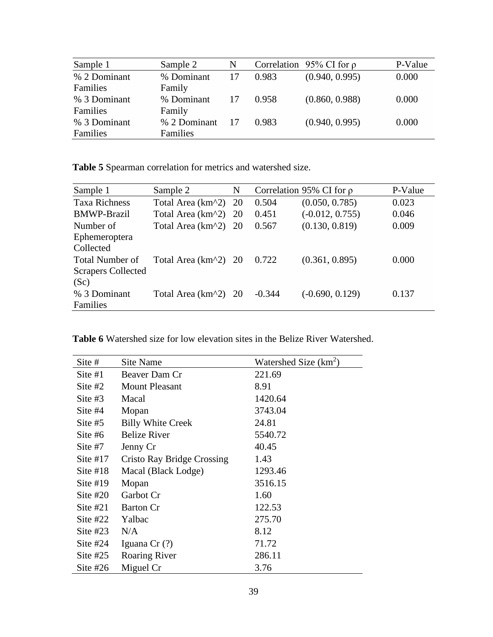| Sample 1     | Sample 2     | N  |       | Correlation 95% CI for $\rho$ | P-Value |
|--------------|--------------|----|-------|-------------------------------|---------|
| % 2 Dominant | % Dominant   | 17 | 0.983 | (0.940, 0.995)                | 0.000   |
| Families     | Family       |    |       |                               |         |
| % 3 Dominant | % Dominant   | 17 | 0.958 | (0.860, 0.988)                | 0.000   |
| Families     | Family       |    |       |                               |         |
| % 3 Dominant | % 2 Dominant | 17 | 0.983 | (0.940, 0.995)                | 0.000   |
| Families     | Families     |    |       |                               |         |

**Table 5** Spearman correlation for metrics and watershed size.

| Sample 1                  | Sample 2                                             | N             |          | Correlation 95% CI for $\rho$ | P-Value |
|---------------------------|------------------------------------------------------|---------------|----------|-------------------------------|---------|
| <b>Taxa Richness</b>      | Total Area (km <sup><math>\lambda</math></sup> 2)    | 20            | 0.504    | (0.050, 0.785)                | 0.023   |
| <b>BMWP-Brazil</b>        | Total Area (km <sup><math>\lambda</math></sup> 2)    | 20            | 0.451    | $(-0.012, 0.755)$             | 0.046   |
| Number of                 | Total Area (km <sup><math>\lambda</math></sup> 2) 20 |               | 0.567    | (0.130, 0.819)                | 0.009   |
| Ephemeroptera             |                                                      |               |          |                               |         |
| Collected                 |                                                      |               |          |                               |         |
| <b>Total Number of</b>    | Total Area (km <sup>2</sup> ) 20                     |               | 0.722    | (0.361, 0.895)                | 0.000   |
| <b>Scrapers Collected</b> |                                                      |               |          |                               |         |
| (Sc)                      |                                                      |               |          |                               |         |
| % 3 Dominant              | Total Area (km <sup><math>\lambda</math></sup> 2)    | <sup>20</sup> | $-0.344$ | $(-0.690, 0.129)$             | 0.137   |
| Families                  |                                                      |               |          |                               |         |

|  |  |  |  |  |  |  |  | <b>Table 6</b> Watershed size for low elevation sites in the Belize River Watershed. |
|--|--|--|--|--|--|--|--|--------------------------------------------------------------------------------------|
|--|--|--|--|--|--|--|--|--------------------------------------------------------------------------------------|

| Site #     | Site Name                  | Watershed Size $(km^2)$ |
|------------|----------------------------|-------------------------|
| Site $#1$  | Beaver Dam Cr              | 221.69                  |
| Site $#2$  | <b>Mount Pleasant</b>      | 8.91                    |
| Site #3    | Macal                      | 1420.64                 |
| Site $#4$  | Mopan                      | 3743.04                 |
| Site #5    | <b>Billy White Creek</b>   | 24.81                   |
| Site $#6$  | <b>Belize River</b>        | 5540.72                 |
| Site $#7$  | Jenny Cr                   | 40.45                   |
| Site $#17$ | Cristo Ray Bridge Crossing | 1.43                    |
| Site $#18$ | Macal (Black Lodge)        | 1293.46                 |
| Site $#19$ | Mopan                      | 3516.15                 |
| Site $#20$ | Garbot Cr                  | 1.60                    |
| Site $#21$ | <b>Barton Cr</b>           | 122.53                  |
| Site $#22$ | Yalbac                     | 275.70                  |
| Site $#23$ | N/A                        | 8.12                    |
| Site $#24$ | Iguana Cr (?)              | 71.72                   |
| Site $#25$ | <b>Roaring River</b>       | 286.11                  |
| Site $#26$ | Miguel Cr                  | 3.76                    |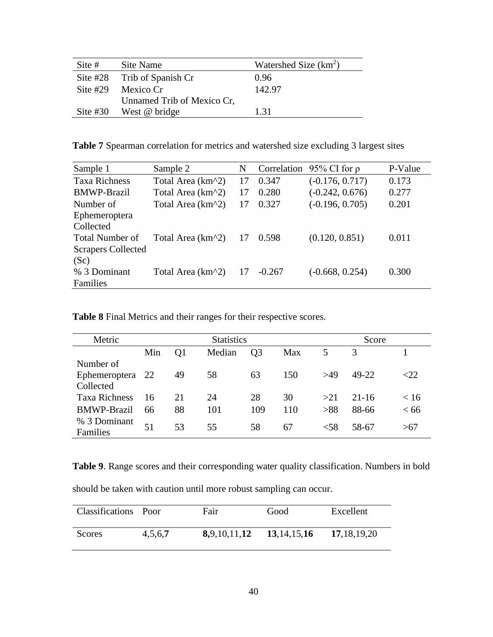| Site #     | Site Name                   | Watershed Size $(km^2)$ |
|------------|-----------------------------|-------------------------|
|            | Site #28 Trib of Spanish Cr | 0.96                    |
| Site $#29$ | Mexico Cr                   | 142.97                  |
|            | Unnamed Trib of Mexico Cr.  |                         |
| Site $#30$ | West @ bridge               | 131                     |

**Table 7** Spearman correlation for metrics and watershed size excluding 3 largest sites

| Sample 1                  | Sample 2                                          | N  |          | Correlation 95% CI for $\rho$ | P-Value |
|---------------------------|---------------------------------------------------|----|----------|-------------------------------|---------|
| <b>Taxa Richness</b>      | Total Area (km <sup><math>\lambda</math></sup> 2) | 17 | 0.347    | $(-0.176, 0.717)$             | 0.173   |
| <b>BMWP-Brazil</b>        | Total Area (km <sup><math>\lambda</math></sup> 2) | 17 | 0.280    | $(-0.242, 0.676)$             | 0.277   |
| Number of                 | Total Area (km^2)                                 | 17 | 0.327    | $(-0.196, 0.705)$             | 0.201   |
| Ephemeroptera             |                                                   |    |          |                               |         |
| Collected                 |                                                   |    |          |                               |         |
| <b>Total Number of</b>    | Total Area (km <sup><math>\lambda</math></sup> 2) | 17 | 0.598    | (0.120, 0.851)                | 0.011   |
| <b>Scrapers Collected</b> |                                                   |    |          |                               |         |
| (Sc)                      |                                                   |    |          |                               |         |
| % 3 Dominant              | Total Area (km <sup><math>\lambda</math></sup> 2) | 17 | $-0.267$ | $(-0.668, 0.254)$             | 0.300   |
| Families                  |                                                   |    |          |                               |         |

|  | Table 8 Final Metrics and their ranges for their respective scores. |  |  |  |  |
|--|---------------------------------------------------------------------|--|--|--|--|
|  |                                                                     |  |  |  |  |

| Metric                   |     |    | <b>Statistics</b> |                |     |      | Score     |        |
|--------------------------|-----|----|-------------------|----------------|-----|------|-----------|--------|
|                          | Min | Q1 | Median            | Q <sub>3</sub> | Max | 5    | 3         |        |
| Number of                |     |    |                   |                |     |      |           |        |
| Ephemeroptera            | 22  | 49 | 58                | 63             | 150 | >49  | 49-22     | $<$ 22 |
| Collected                |     |    |                   |                |     |      |           |        |
| <b>Taxa Richness</b>     | 16  | 21 | 24                | 28             | 30  | >21  | $21 - 16$ | < 16   |
| <b>BMWP-Brazil</b>       | 66  | 88 | 101               | 109            | 110 | >88  | 88-66     | <66    |
| % 3 Dominant<br>Families | 51  | 53 | 55                | 58             | 67  | < 58 | 58-67     | >67    |

**Table 9**. Range scores and their corresponding water quality classification. Numbers in bold

should be taken with caution until more robust sampling can occur.

| Classifications Poor |         | Fair         | Good           | Excellent      |
|----------------------|---------|--------------|----------------|----------------|
| Scores               | 4,5,6,7 | 8,9,10,11,12 | 13, 14, 15, 16 | 17, 18, 19, 20 |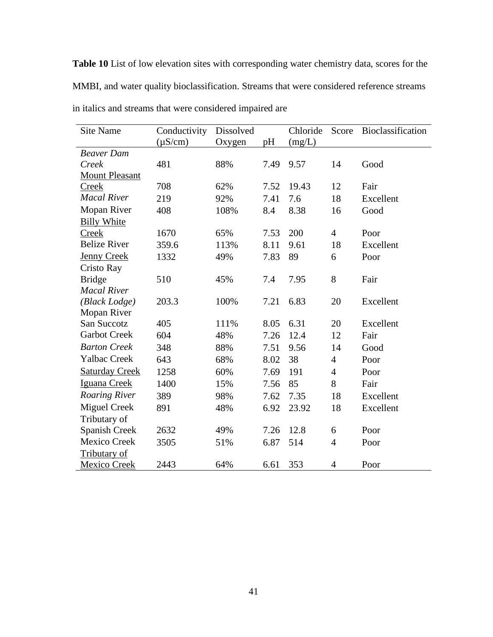**Table 10** List of low elevation sites with corresponding water chemistry data, scores for the MMBI, and water quality bioclassification. Streams that were considered reference streams in italics and streams that were considered impaired are

| <b>Site Name</b>      | Conductivity | Dissolved |      | Chloride | Score          | Bioclassification |
|-----------------------|--------------|-----------|------|----------|----------------|-------------------|
|                       | $(\mu S/cm)$ | Oxygen    | pH   | (mg/L)   |                |                   |
| <b>Beaver Dam</b>     |              |           |      |          |                |                   |
| Creek                 | 481          | 88%       | 7.49 | 9.57     | 14             | Good              |
| <b>Mount Pleasant</b> |              |           |      |          |                |                   |
| <b>Creek</b>          | 708          | 62%       | 7.52 | 19.43    | 12             | Fair              |
| <b>Macal River</b>    | 219          | 92%       | 7.41 | 7.6      | 18             | Excellent         |
| Mopan River           | 408          | 108%      | 8.4  | 8.38     | 16             | Good              |
| <b>Billy White</b>    |              |           |      |          |                |                   |
| <b>Creek</b>          | 1670         | 65%       | 7.53 | 200      | $\overline{4}$ | Poor              |
| <b>Belize River</b>   | 359.6        | 113%      | 8.11 | 9.61     | 18             | Excellent         |
| <b>Jenny Creek</b>    | 1332         | 49%       | 7.83 | 89       | 6              | Poor              |
| Cristo Ray            |              |           |      |          |                |                   |
| <b>Bridge</b>         | 510          | 45%       | 7.4  | 7.95     | 8              | Fair              |
| <b>Macal River</b>    |              |           |      |          |                |                   |
| (Black Lodge)         | 203.3        | 100%      | 7.21 | 6.83     | 20             | Excellent         |
| Mopan River           |              |           |      |          |                |                   |
| San Succotz           | 405          | 111%      | 8.05 | 6.31     | 20             | Excellent         |
| <b>Garbot Creek</b>   | 604          | 48%       | 7.26 | 12.4     | 12             | Fair              |
| <b>Barton Creek</b>   | 348          | 88%       | 7.51 | 9.56     | 14             | Good              |
| <b>Yalbac Creek</b>   | 643          | 68%       | 8.02 | 38       | $\overline{4}$ | Poor              |
| <b>Saturday Creek</b> | 1258         | 60%       | 7.69 | 191      | 4              | Poor              |
| Iguana Creek          | 1400         | 15%       | 7.56 | 85       | 8              | Fair              |
| <b>Roaring River</b>  | 389          | 98%       | 7.62 | 7.35     | 18             | Excellent         |
| <b>Miguel Creek</b>   | 891          | 48%       | 6.92 | 23.92    | 18             | Excellent         |
| Tributary of          |              |           |      |          |                |                   |
| Spanish Creek         | 2632         | 49%       | 7.26 | 12.8     | 6              | Poor              |
| <b>Mexico Creek</b>   | 3505         | 51%       | 6.87 | 514      | $\overline{4}$ | Poor              |
| <b>Tributary of</b>   |              |           |      |          |                |                   |
| <b>Mexico Creek</b>   | 2443         | 64%       | 6.61 | 353      | 4              | Poor              |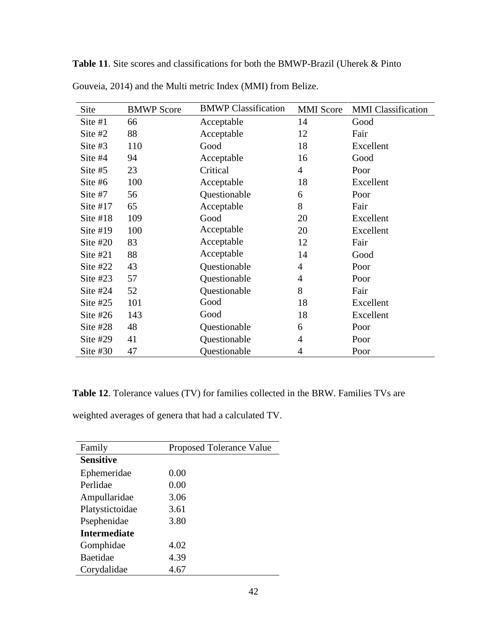| Site       | <b>BMWP</b> Score | <b>BMWP</b> Classification | <b>MMI</b> Score | <b>MMI</b> Classification |
|------------|-------------------|----------------------------|------------------|---------------------------|
| Site #1    | 66                | Acceptable                 | 14               | Good                      |
| Site #2    | 88                | Acceptable                 | 12               | Fair                      |
| Site #3    | 110               | Good                       | 18               | Excellent                 |
| Site #4    | 94                | Acceptable                 | 16               | Good                      |
| Site #5    | 23                | Critical                   | $\overline{4}$   | Poor                      |
| Site #6    | 100               | Acceptable                 | 18               | Excellent                 |
| Site #7    | 56                | Questionable               | 6                | Poor                      |
| Site $#17$ | 65                | Acceptable                 | 8                | Fair                      |
| Site $#18$ | 109               | Good                       | 20               | Excellent                 |
| Site $#19$ | 100               | Acceptable                 | 20               | Excellent                 |
| Site $#20$ | 83                | Acceptable                 | 12               | Fair                      |
| Site $#21$ | 88                | Acceptable                 | 14               | Good                      |
| Site $#22$ | 43                | Questionable               | 4                | Poor                      |
| Site $#23$ | 57                | Questionable               | 4                | Poor                      |
| Site $#24$ | 52                | Questionable               | 8                | Fair                      |
| Site $#25$ | 101               | Good                       | 18               | Excellent                 |
| Site $#26$ | 143               | Good                       | 18               | Excellent                 |
| Site $#28$ | 48                | Questionable               | 6                | Poor                      |
| Site $#29$ | 41                | Questionable               | 4                | Poor                      |
| Site $#30$ | 47                | Questionable               | 4                | Poor                      |

**Table 11**. Site scores and classifications for both the BMWP-Brazil (Uherek & Pinto

Gouveia, 2014) and the Multi metric Index (MMI) from Belize.

**Table 12**. Tolerance values (TV) for families collected in the BRW. Families TVs are

weighted averages of genera that had a calculated TV.

| Family              | <b>Proposed Tolerance Value</b> |
|---------------------|---------------------------------|
| <b>Sensitive</b>    |                                 |
| Ephemeridae         | 0.00                            |
| Perlidae            | 0.00                            |
| Ampullaridae        | 3.06                            |
| Platystictoidae     | 3.61                            |
| Psephenidae         | 3.80                            |
| <b>Intermediate</b> |                                 |
| Gomphidae           | 4.02                            |
| <b>Baetidae</b>     | 4.39                            |
| Corydalidae         | 4.67                            |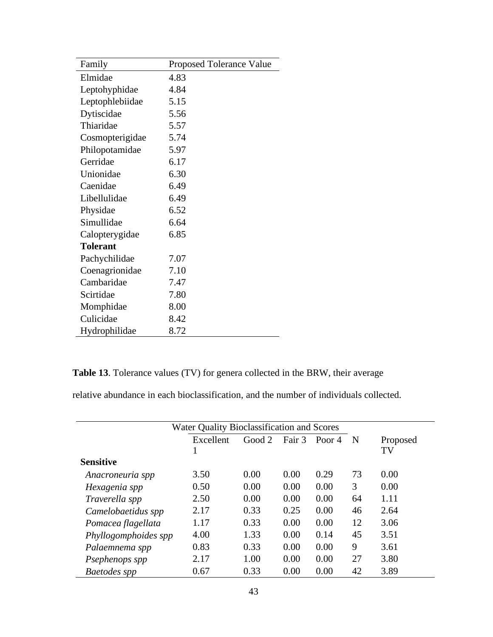| Family          | <b>Proposed Tolerance Value</b> |
|-----------------|---------------------------------|
| Elmidae         | 4.83                            |
| Leptohyphidae   | 4.84                            |
| Leptophlebiidae | 5.15                            |
| Dytiscidae      | 5.56                            |
| Thiaridae       | 5.57                            |
| Cosmopterigidae | 5.74                            |
| Philopotamidae  | 5.97                            |
| Gerridae        | 6.17                            |
| Unionidae       | 6.30                            |
| Caenidae        | 6.49                            |
| Libellulidae    | 6.49                            |
| Physidae        | 6.52                            |
| Simullidae      | 6.64                            |
| Calopterygidae  | 6.85                            |
| <b>Tolerant</b> |                                 |
| Pachychilidae   | 7.07                            |
| Coenagrionidae  | 7.10                            |
| Cambaridae      | 7.47                            |
| Scirtidae       | 7.80                            |
| Momphidae       | 8.00                            |
| Culicidae       | 8.42                            |
| Hydrophilidae   | 8.72                            |

**Table 13**. Tolerance values (TV) for genera collected in the BRW, their average

relative abundance in each bioclassification, and the number of individuals collected.

| Water Quality Bioclassification and Scores |           |        |      |               |    |          |
|--------------------------------------------|-----------|--------|------|---------------|----|----------|
|                                            | Excellent | Good 2 |      | Fair 3 Poor 4 | N  | Proposed |
|                                            |           |        |      |               |    | TV       |
| <b>Sensitive</b>                           |           |        |      |               |    |          |
| Anacroneuria spp                           | 3.50      | 0.00   | 0.00 | 0.29          | 73 | 0.00     |
| Hexagenia spp                              | 0.50      | 0.00   | 0.00 | 0.00          | 3  | 0.00     |
| Traverella spp                             | 2.50      | 0.00   | 0.00 | 0.00          | 64 | 1.11     |
| Camelobaetidus spp                         | 2.17      | 0.33   | 0.25 | 0.00          | 46 | 2.64     |
| Pomacea flagellata                         | 1.17      | 0.33   | 0.00 | 0.00          | 12 | 3.06     |
| Phyllogomphoides spp                       | 4.00      | 1.33   | 0.00 | 0.14          | 45 | 3.51     |
| Palaemnema spp                             | 0.83      | 0.33   | 0.00 | 0.00          | 9  | 3.61     |
| Psephenops spp                             | 2.17      | 1.00   | 0.00 | 0.00          | 27 | 3.80     |
| Baetodes spp                               | 0.67      | 0.33   | 0.00 | 0.00          | 42 | 3.89     |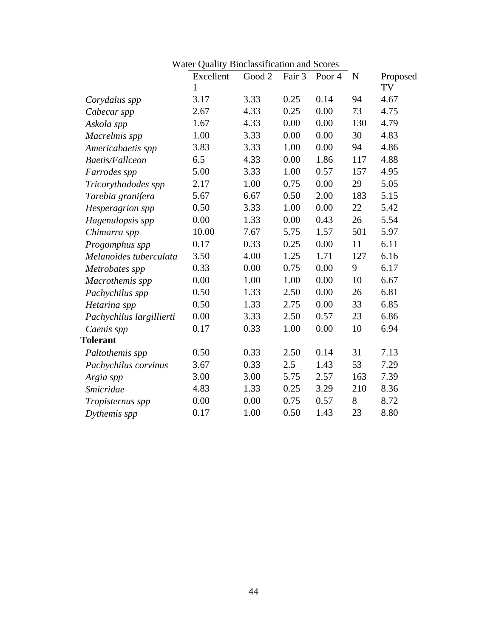|                          | Excellent | Good 2 | Fair 3 | Poor <sub>4</sub> | ${\bf N}$ | Proposed |
|--------------------------|-----------|--------|--------|-------------------|-----------|----------|
|                          | 1         |        |        |                   |           | TV       |
| Corydalus spp            | 3.17      | 3.33   | 0.25   | 0.14              | 94        | 4.67     |
| Cabecar spp              | 2.67      | 4.33   | 0.25   | 0.00              | 73        | 4.75     |
| Askola spp               | 1.67      | 4.33   | 0.00   | 0.00              | 130       | 4.79     |
| Macrelmis spp            | 1.00      | 3.33   | 0.00   | 0.00              | 30        | 4.83     |
| Americabaetis spp        | 3.83      | 3.33   | 1.00   | 0.00              | 94        | 4.86     |
| <b>Baetis/Fallceon</b>   | 6.5       | 4.33   | 0.00   | 1.86              | 117       | 4.88     |
| Farrodes spp             | 5.00      | 3.33   | 1.00   | 0.57              | 157       | 4.95     |
| Tricorythododes spp      | 2.17      | 1.00   | 0.75   | 0.00              | 29        | 5.05     |
| Tarebia granifera        | 5.67      | 6.67   | 0.50   | 2.00              | 183       | 5.15     |
| Hesperagrion spp         | 0.50      | 3.33   | 1.00   | 0.00              | 22        | 5.42     |
| Hagenulopsis spp         | 0.00      | 1.33   | 0.00   | 0.43              | 26        | 5.54     |
| Chimarra spp             | 10.00     | 7.67   | 5.75   | 1.57              | 501       | 5.97     |
| Progomphus spp           | 0.17      | 0.33   | 0.25   | 0.00              | 11        | 6.11     |
| Melanoides tuberculata   | 3.50      | 4.00   | 1.25   | 1.71              | 127       | 6.16     |
| Metrobates spp           | 0.33      | 0.00   | 0.75   | 0.00              | 9         | 6.17     |
| Macrothemis spp          | 0.00      | 1.00   | 1.00   | 0.00              | 10        | 6.67     |
| Pachychilus spp          | 0.50      | 1.33   | 2.50   | 0.00              | 26        | 6.81     |
| Hetarina spp             | 0.50      | 1.33   | 2.75   | 0.00              | 33        | 6.85     |
| Pachychilus largillierti | 0.00      | 3.33   | 2.50   | 0.57              | 23        | 6.86     |
| Caenis spp               | 0.17      | 0.33   | 1.00   | 0.00              | 10        | 6.94     |
| <b>Tolerant</b>          |           |        |        |                   |           |          |
| Paltothemis spp          | 0.50      | 0.33   | 2.50   | 0.14              | 31        | 7.13     |
| Pachychilus corvinus     | 3.67      | 0.33   | 2.5    | 1.43              | 53        | 7.29     |
| Argia spp                | 3.00      | 3.00   | 5.75   | 2.57              | 163       | 7.39     |
| <b>Smicridae</b>         | 4.83      | 1.33   | 0.25   | 3.29              | 210       | 8.36     |
| Tropisternus spp         | 0.00      | 0.00   | 0.75   | 0.57              | 8         | 8.72     |
| Dythemis spp             | 0.17      | 1.00   | 0.50   | 1.43              | 23        | 8.80     |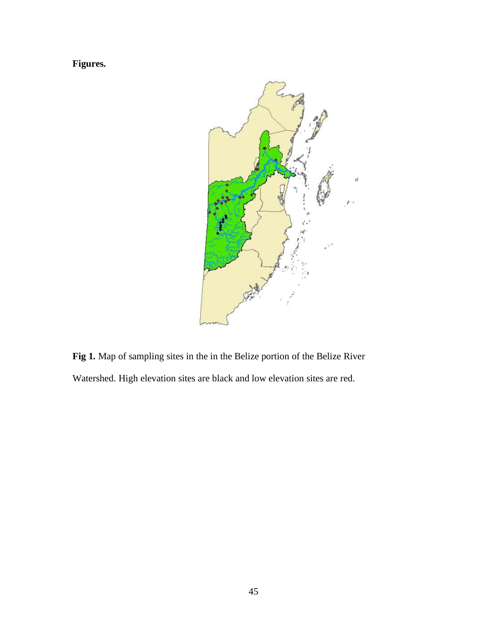**Figures.**



**Fig 1.** Map of sampling sites in the in the Belize portion of the Belize River Watershed. High elevation sites are black and low elevation sites are red.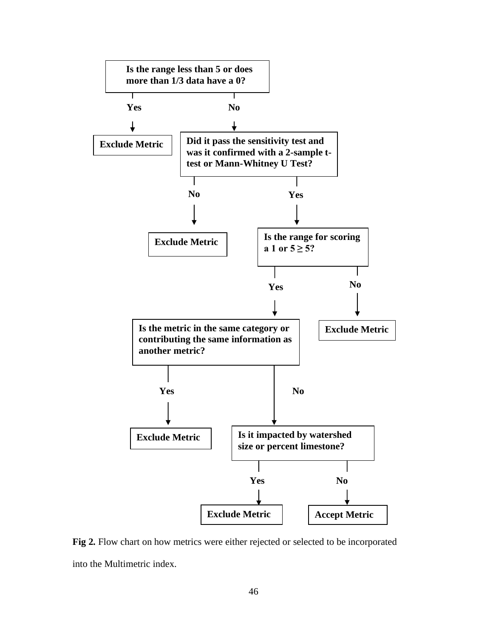

**Fig 2.** Flow chart on how metrics were either rejected or selected to be incorporated into the Multimetric index.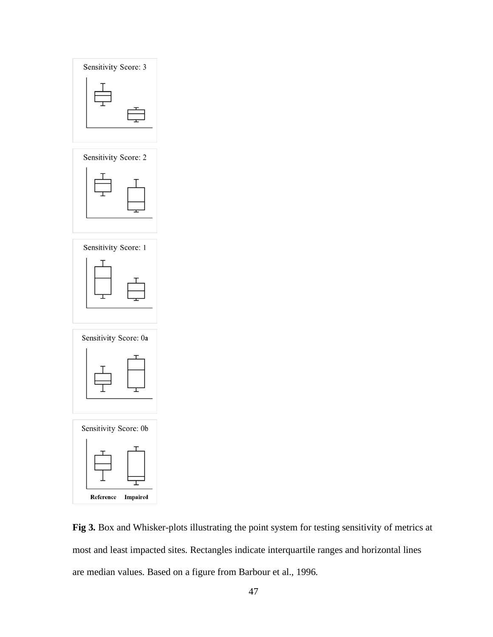

Sensitivity Score: 2







**Fig 3.** Box and Whisker-plots illustrating the point system for testing sensitivity of metrics at most and least impacted sites. Rectangles indicate interquartile ranges and horizontal lines are median values. Based on a figure from Barbour et al., 1996.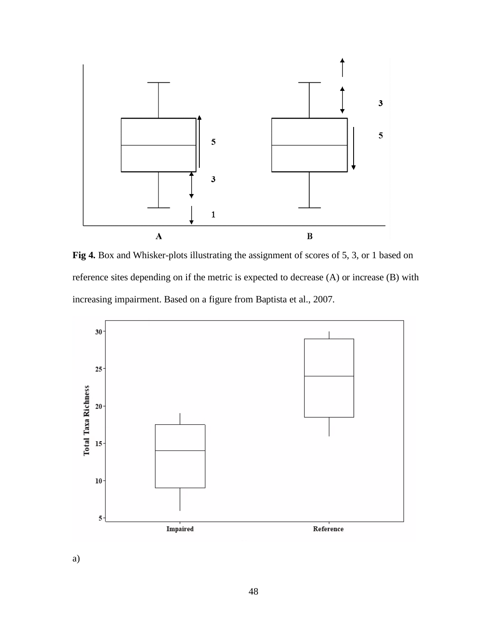

**Fig 4.** Box and Whisker-plots illustrating the assignment of scores of 5, 3, or 1 based on reference sites depending on if the metric is expected to decrease (A) or increase (B) with increasing impairment. Based on a figure from Baptista et al., 2007.



a)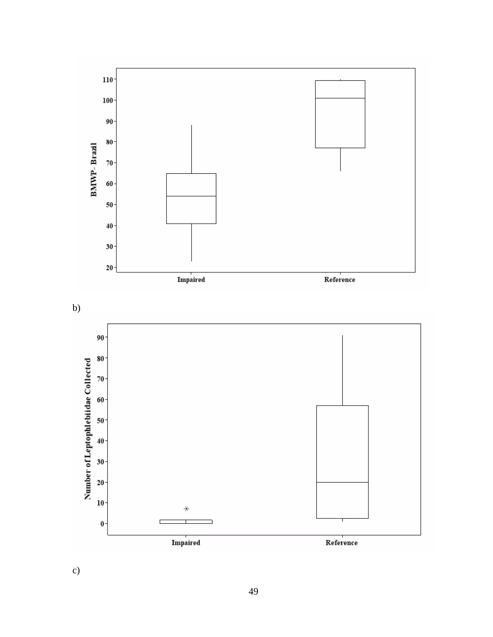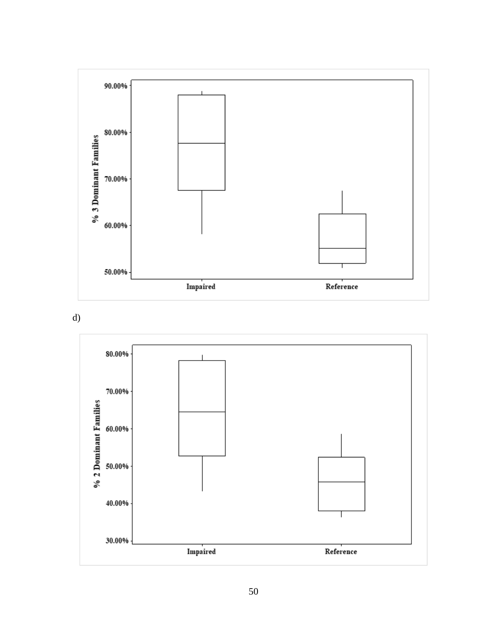

d)

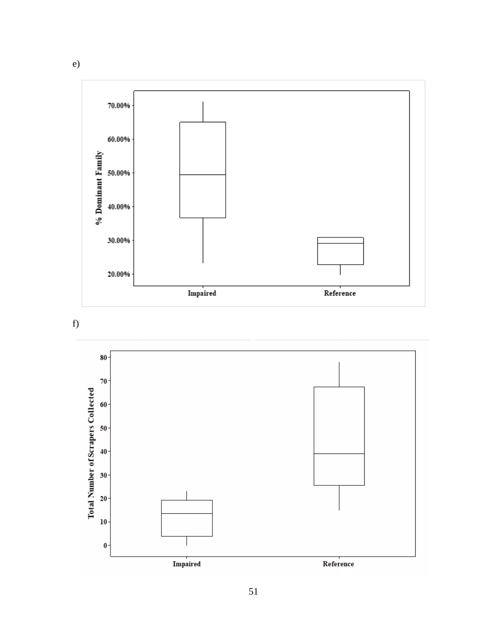





e)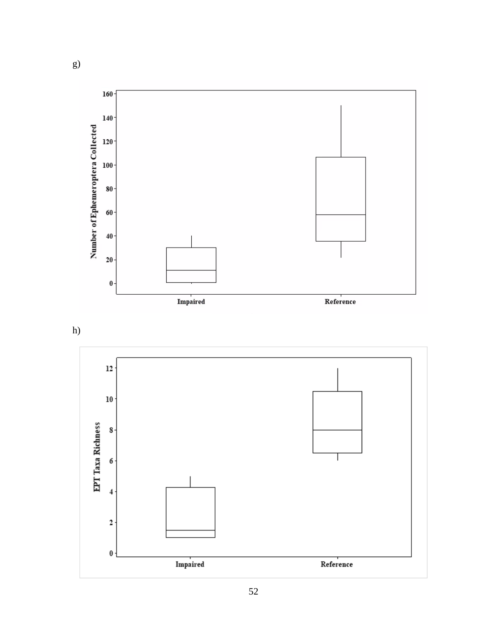



g)

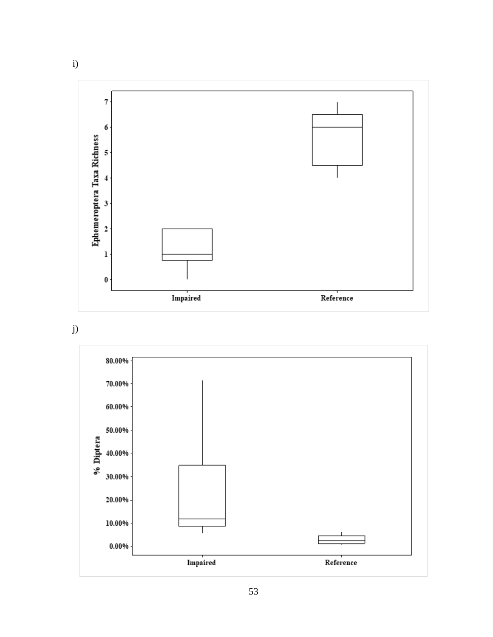

j)

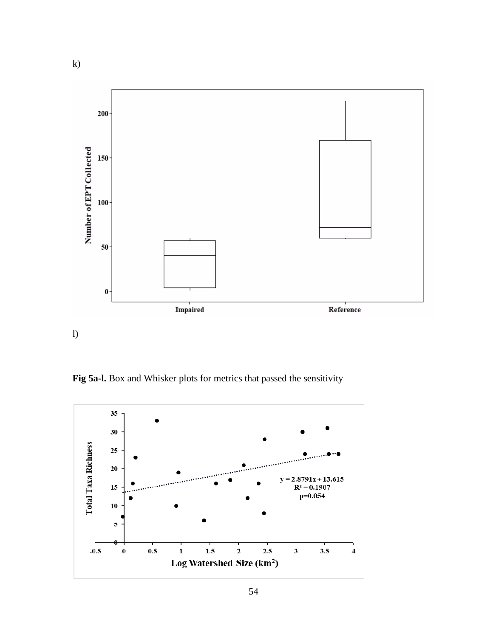

l)

**Fig 5a-l.** Box and Whisker plots for metrics that passed the sensitivity

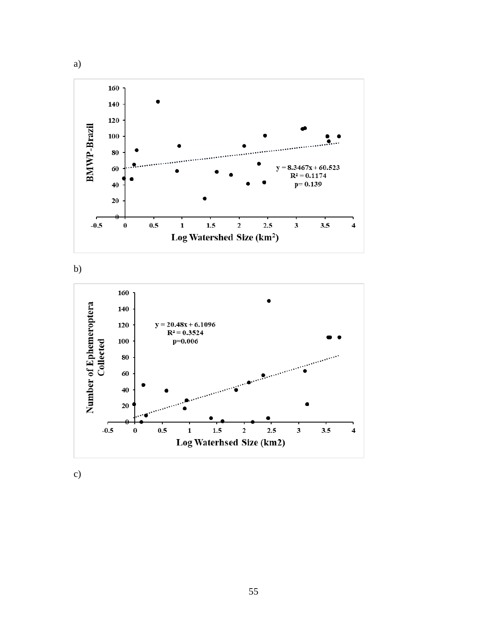





c)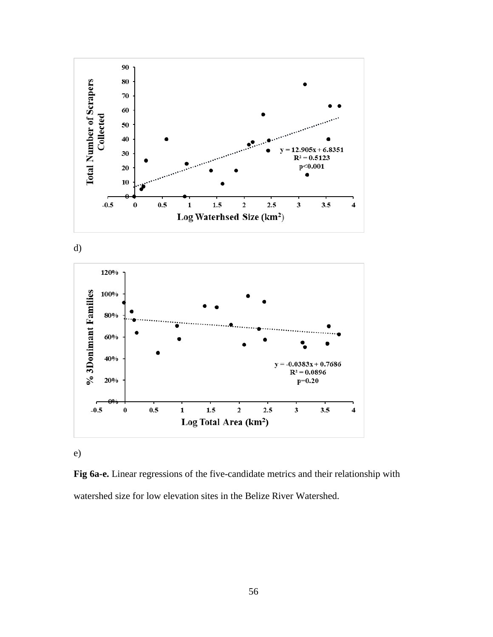

d)



e)

**Fig 6a-e.** Linear regressions of the five-candidate metrics and their relationship with watershed size for low elevation sites in the Belize River Watershed.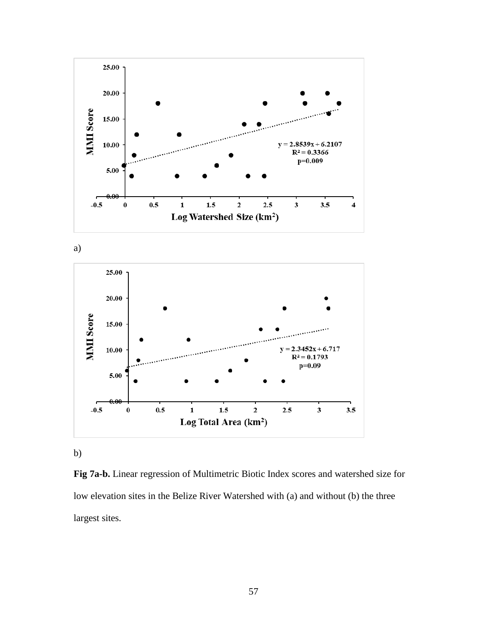

a)



b)

**Fig 7a-b.** Linear regression of Multimetric Biotic Index scores and watershed size for low elevation sites in the Belize River Watershed with (a) and without (b) the three largest sites.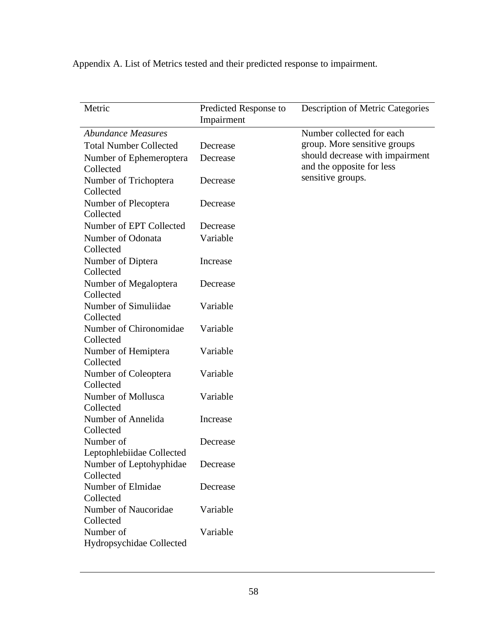Appendix A. List of Metrics tested and their predicted response to impairment.

| Metric                                 | Predicted Response to<br>Impairment | <b>Description of Metric Categories</b>                      |
|----------------------------------------|-------------------------------------|--------------------------------------------------------------|
| <b>Abundance Measures</b>              |                                     | Number collected for each                                    |
| <b>Total Number Collected</b>          | Decrease                            | group. More sensitive groups                                 |
| Number of Ephemeroptera<br>Collected   | Decrease                            | should decrease with impairment<br>and the opposite for less |
| Number of Trichoptera<br>Collected     | Decrease                            | sensitive groups.                                            |
| Number of Plecoptera<br>Collected      | Decrease                            |                                                              |
| Number of EPT Collected                | Decrease                            |                                                              |
| Number of Odonata<br>Collected         | Variable                            |                                                              |
| Number of Diptera<br>Collected         | Increase                            |                                                              |
| Number of Megaloptera<br>Collected     | Decrease                            |                                                              |
| Number of Simuliidae<br>Collected      | Variable                            |                                                              |
| Number of Chironomidae<br>Collected    | Variable                            |                                                              |
| Number of Hemiptera<br>Collected       | Variable                            |                                                              |
| Number of Coleoptera<br>Collected      | Variable                            |                                                              |
| Number of Mollusca<br>Collected        | Variable                            |                                                              |
| Number of Annelida<br>Collected        | Increase                            |                                                              |
| Number of<br>Leptophlebiidae Collected | Decrease                            |                                                              |
| Number of Leptohyphidae<br>Collected   | Decrease                            |                                                              |
| Number of Elmidae<br>Collected         | Decrease                            |                                                              |
| Number of Naucoridae<br>Collected      | Variable                            |                                                              |
| Number of<br>Hydropsychidae Collected  | Variable                            |                                                              |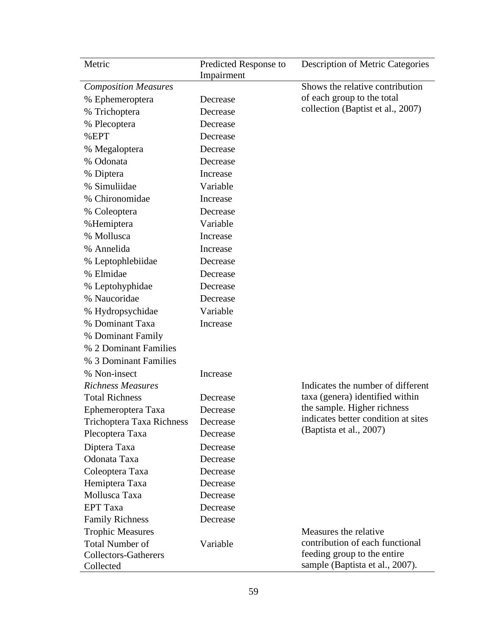| Metric                           | Predicted Response to<br>Impairment | <b>Description of Metric Categories</b> |
|----------------------------------|-------------------------------------|-----------------------------------------|
| <b>Composition Measures</b>      |                                     | Shows the relative contribution         |
| % Ephemeroptera                  | Decrease                            | of each group to the total              |
| % Trichoptera                    | Decrease                            | collection (Baptist et al., 2007)       |
| % Plecoptera                     | Decrease                            |                                         |
| %EPT                             | Decrease                            |                                         |
| % Megaloptera                    | Decrease                            |                                         |
| % Odonata                        | Decrease                            |                                         |
| % Diptera                        | Increase                            |                                         |
| % Simuliidae                     | Variable                            |                                         |
| % Chironomidae                   | Increase                            |                                         |
| % Coleoptera                     | Decrease                            |                                         |
| %Hemiptera                       | Variable                            |                                         |
| % Mollusca                       | Increase                            |                                         |
| % Annelida                       | Increase                            |                                         |
| % Leptophlebiidae                | Decrease                            |                                         |
| % Elmidae                        | Decrease                            |                                         |
| % Leptohyphidae                  | Decrease                            |                                         |
| % Naucoridae                     | Decrease                            |                                         |
| % Hydropsychidae                 | Variable                            |                                         |
| % Dominant Taxa                  | Increase                            |                                         |
| % Dominant Family                |                                     |                                         |
| % 2 Dominant Families            |                                     |                                         |
| % 3 Dominant Families            |                                     |                                         |
| % Non-insect                     | Increase                            |                                         |
| <b>Richness Measures</b>         |                                     | Indicates the number of different       |
| <b>Total Richness</b>            | Decrease                            | taxa (genera) identified within         |
| Ephemeroptera Taxa               | Decrease                            | the sample. Higher richness             |
| <b>Trichoptera Taxa Richness</b> | Decrease                            | indicates better condition at sites     |
| Plecoptera Taxa                  | Decrease                            | (Baptista et al., 2007)                 |
| Diptera Taxa                     | Decrease                            |                                         |
| Odonata Taxa                     | Decrease                            |                                         |
| Coleoptera Taxa                  | Decrease                            |                                         |
| Hemiptera Taxa                   | Decrease                            |                                         |
| Mollusca Taxa                    | Decrease                            |                                         |
| <b>EPT</b> Taxa                  | Decrease                            |                                         |
| <b>Family Richness</b>           | Decrease                            |                                         |
| <b>Trophic Measures</b>          |                                     | Measures the relative.                  |
| <b>Total Number of</b>           | Variable                            | contribution of each functional         |
| <b>Collectors-Gatherers</b>      |                                     | feeding group to the entire             |
| Collected                        |                                     | sample (Baptista et al., 2007).         |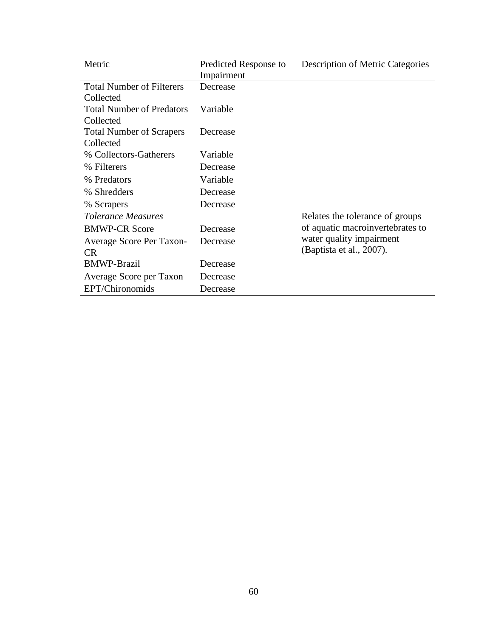| Metric                           | Predicted Response to | <b>Description of Metric Categories</b> |
|----------------------------------|-----------------------|-----------------------------------------|
|                                  | Impairment            |                                         |
| <b>Total Number of Filterers</b> | Decrease              |                                         |
| Collected                        |                       |                                         |
| <b>Total Number of Predators</b> | Variable              |                                         |
| Collected                        |                       |                                         |
| <b>Total Number of Scrapers</b>  | Decrease              |                                         |
| Collected                        |                       |                                         |
| % Collectors-Gatherers           | Variable              |                                         |
| % Filterers                      | Decrease              |                                         |
| % Predators                      | Variable              |                                         |
| % Shredders                      | Decrease              |                                         |
| % Scrapers                       | Decrease              |                                         |
| <i>Tolerance Measures</i>        |                       | Relates the tolerance of groups         |
| <b>BMWP-CR Score</b>             | Decrease              | of aquatic macroinvertebrates to        |
| Average Score Per Taxon-         | Decrease              | water quality impairment                |
| CR                               |                       | (Baptista et al., 2007).                |
| <b>BMWP-Brazil</b>               | Decrease              |                                         |
| Average Score per Taxon          | Decrease              |                                         |
| EPT/Chironomids                  | Decrease              |                                         |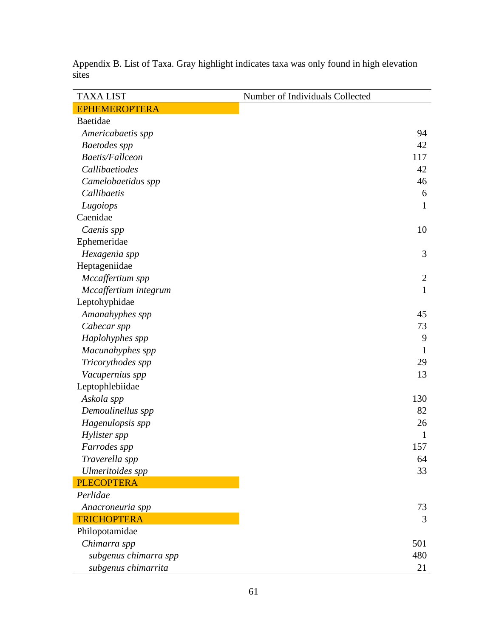| <b>TAXA LIST</b>        | Number of Individuals Collected |
|-------------------------|---------------------------------|
| <b>EPHEMEROPTERA</b>    |                                 |
| Baetidae                |                                 |
| Americabaetis spp       | 94                              |
| <b>Baetodes</b> spp     | 42                              |
| <b>Baetis/Fallceon</b>  | 117                             |
| Callibaetiodes          | 42                              |
| Camelobaetidus spp      | 46                              |
| Callibaetis             | 6                               |
| Lugoiops                | 1                               |
| Caenidae                |                                 |
| Caenis spp              | 10                              |
| Ephemeridae             |                                 |
| Hexagenia spp           | 3                               |
| Heptageniidae           |                                 |
| Mccaffertium spp        | $\overline{2}$                  |
| Mccaffertium integrum   | $\mathbf{1}$                    |
| Leptohyphidae           |                                 |
| Amanahyphes spp         | 45                              |
| Cabecar spp             | 73                              |
| Haplohyphes spp         | 9                               |
| Macunahyphes spp        | 1                               |
| Tricorythodes spp       | 29                              |
| Vacupernius spp         | 13                              |
| Leptophlebiidae         |                                 |
| Askola spp              | 130                             |
| Demoulinellus spp       | 82                              |
| Hagenulopsis spp        | 26                              |
| Hylister spp            | $\mathbf{1}$                    |
| Farrodes spp            | 157                             |
| Traverella spp          | 64                              |
| <b>Ulmeritoides</b> spp | 33                              |
| <b>PLECOPTERA</b>       |                                 |
| Perlidae                |                                 |
| Anacroneuria spp        | 73                              |
| <b>TRICHOPTERA</b>      | 3                               |
| Philopotamidae          |                                 |
| Chimarra spp            | 501                             |
| subgenus chimarra spp   | 480                             |
| subgenus chimarrita     | 21                              |

Appendix B. List of Taxa. Gray highlight indicates taxa was only found in high elevation sites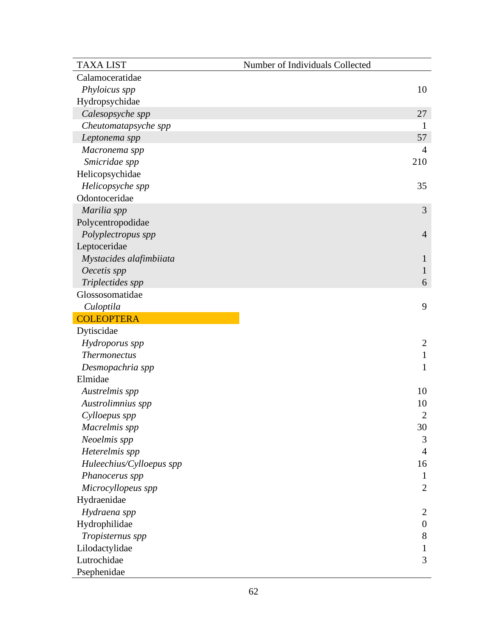| <b>TAXA LIST</b>         | Number of Individuals Collected |
|--------------------------|---------------------------------|
| Calamoceratidae          |                                 |
| Phyloicus spp            | 10                              |
| Hydropsychidae           |                                 |
| Calesopsyche spp         | 27                              |
| Cheutomatapsyche spp     | $\mathbf{1}$                    |
| Leptonema spp            | 57                              |
| Macronema spp            | 4                               |
| Smicridae spp            | 210                             |
| Helicopsychidae          |                                 |
| Helicopsyche spp         | 35                              |
| Odontoceridae            |                                 |
| Marilia spp              | 3                               |
| Polycentropodidae        |                                 |
| Polyplectropus spp       | $\overline{4}$                  |
| Leptoceridae             |                                 |
| Mystacides alafimbiiata  | $\mathbf{I}$                    |
| Oecetis spp              | $\mathbf{1}$                    |
| Triplectides spp         | 6                               |
| Glossosomatidae          |                                 |
| Culoptila                | 9                               |
| <b>COLEOPTERA</b>        |                                 |
| Dytiscidae               |                                 |
| Hydroporus spp           | $\overline{2}$                  |
| <b>Thermonectus</b>      | $\mathbf{1}$                    |
| Desmopachria spp         | $\mathbf{1}$                    |
| Elmidae                  |                                 |
| Austrelmis spp           | 10                              |
| Austrolimnius spp        | 10                              |
| Cylloepus spp            | $\overline{2}$                  |
| Macrelmis spp            | 30                              |
| Neoelmis spp             | 3                               |
| Heterelmis spp           | $\overline{4}$                  |
| Huleechius/Cylloepus spp | 16                              |
| Phanocerus spp           | $\mathbf{1}$                    |
| Microcyllopeus spp       | $\overline{2}$                  |
| Hydraenidae              |                                 |
| Hydraena spp             | $\overline{2}$                  |
| Hydrophilidae            | $\boldsymbol{0}$                |
| Tropisternus spp         | $8\,$                           |
| Lilodactylidae           | $\mathbf{1}$                    |
| Lutrochidae              | 3                               |
| Psephenidae              |                                 |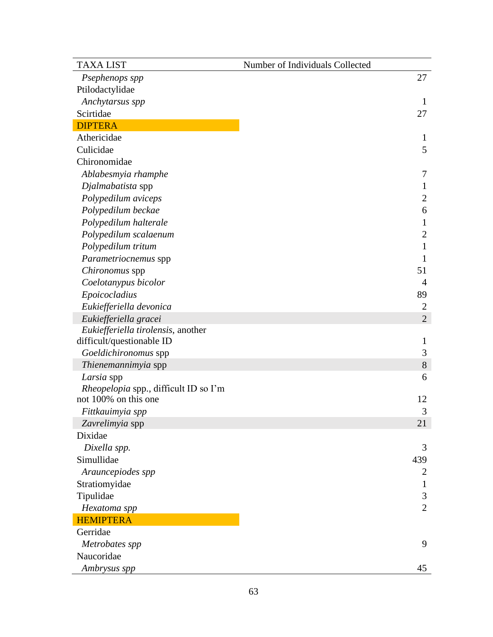| <b>TAXA LIST</b>                             | Number of Individuals Collected |
|----------------------------------------------|---------------------------------|
| Psephenops spp                               | 27                              |
| Ptilodactylidae                              |                                 |
| Anchytarsus spp                              | $\mathbf{1}$                    |
| Scirtidae                                    | 27                              |
| <b>DIPTERA</b>                               |                                 |
| Athericidae                                  | $\mathbf{1}$                    |
| Culicidae                                    | 5                               |
| Chironomidae                                 |                                 |
| Ablabesmyia rhamphe                          | 7                               |
| Djalmabatista spp                            | $\mathbf{1}$                    |
| Polypedilum aviceps                          | 2                               |
| Polypedilum beckae                           | 6                               |
| Polypedilum halterale                        | $\mathbf{1}$                    |
| Polypedilum scalaenum                        | $\overline{2}$                  |
| Polypedilum tritum                           | 1                               |
| Parametriocnemus spp                         | 1                               |
| Chironomus spp                               | 51                              |
| Coelotanypus bicolor                         | 4                               |
| Epoicocladius                                | 89                              |
| Eukiefferiella devonica                      | 2                               |
| Eukiefferiella gracei                        | $\overline{2}$                  |
| Eukiefferiella tirolensis, another           |                                 |
| difficult/questionable ID                    | $\mathbf{1}$                    |
| Goeldichironomus spp                         | 3                               |
| Thienemannimyia spp                          | 8                               |
| Larsia spp                                   | 6                               |
| <i>Rheopelopia</i> spp., difficult ID so I'm |                                 |
| not 100% on this one                         | 12                              |
| Fittkauimyia spp                             | 3                               |
| Zavrelimyia spp                              | 21                              |
| Dixidae                                      |                                 |
| Dixella spp.                                 | 3                               |
| Simullidae                                   | 439                             |
| Arauncepiodes spp                            | 2                               |
| Stratiomyidae                                | 1                               |
| Tipulidae                                    | 3                               |
| Hexatoma spp                                 | $\overline{2}$                  |
| <b>HEMIPTERA</b>                             |                                 |
| Gerridae                                     |                                 |
| Metrobates spp                               | 9                               |
| Naucoridae                                   |                                 |
| Ambrysus spp                                 | 45                              |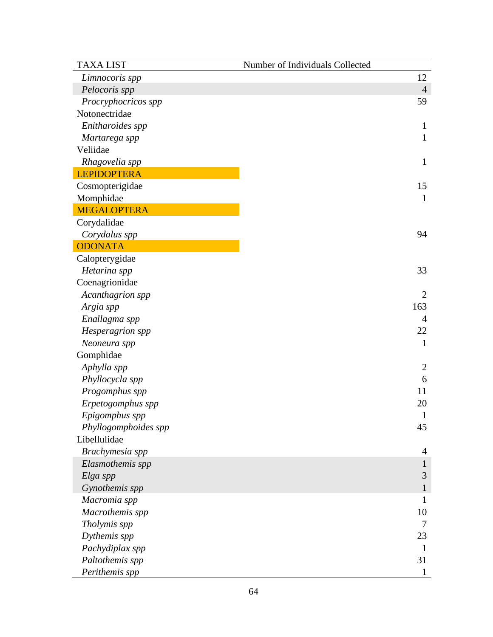| <b>TAXA LIST</b>     | Number of Individuals Collected |
|----------------------|---------------------------------|
| Limnocoris spp       | 12                              |
| Pelocoris spp        | $\overline{4}$                  |
| Procryphocricos spp  | 59                              |
| Notonectridae        |                                 |
| Enitharoides spp     | $\mathbf{1}$                    |
| Martarega spp        | 1                               |
| Veliidae             |                                 |
| Rhagovelia spp       | 1                               |
| <b>LEPIDOPTERA</b>   |                                 |
| Cosmopterigidae      | 15                              |
| Momphidae            | $\mathbf{1}$                    |
| <b>MEGALOPTERA</b>   |                                 |
| Corydalidae          |                                 |
| Corydalus spp        | 94                              |
| <b>ODONATA</b>       |                                 |
| Calopterygidae       |                                 |
| Hetarina spp         | 33                              |
| Coenagrionidae       |                                 |
| Acanthagrion spp     | $\overline{2}$                  |
| Argia spp            | 163                             |
| Enallagma spp        | $\overline{4}$                  |
| Hesperagrion spp     | 22                              |
| Neoneura spp         | $\mathbf{1}$                    |
| Gomphidae            |                                 |
| Aphylla spp          | $\overline{c}$                  |
| Phyllocycla spp      | 6                               |
| Progomphus spp       | 11                              |
| Erpetogomphus spp    | 20                              |
| Epigomphus spp       | $\mathbf{1}$                    |
| Phyllogomphoides spp | 45                              |
| Libellulidae         |                                 |
| Brachymesia spp      | 4                               |
| Elasmothemis spp     | $\mathbf{1}$                    |
| Elga spp             | $\mathfrak{Z}$                  |
| Gynothemis spp       | $\mathbf{1}$                    |
| Macromia spp         | 1                               |
| Macrothemis spp      | 10                              |
| Tholymis spp         | 7                               |
| Dythemis spp         | 23                              |
| Pachydiplax spp      | 1                               |
| Paltothemis spp      | 31                              |
| Perithemis spp       | 1                               |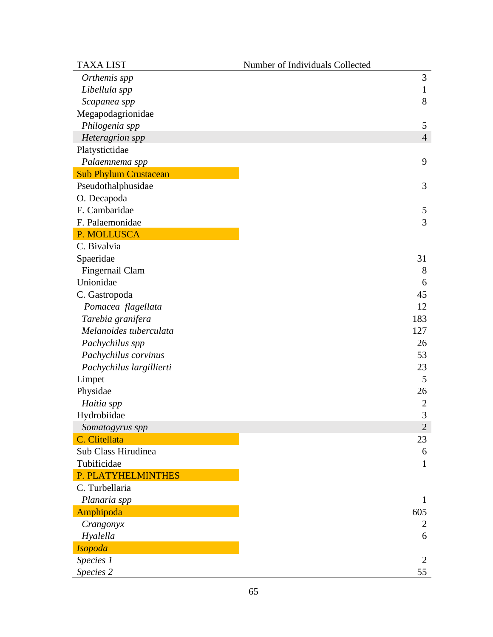| <b>TAXA LIST</b>             | Number of Individuals Collected |
|------------------------------|---------------------------------|
| Orthemis spp                 | 3                               |
| Libellula spp                | $\mathbf{1}$                    |
| Scapanea spp                 | 8                               |
| Megapodagrionidae            |                                 |
| Philogenia spp               | 5                               |
| Heteragrion spp              | $\overline{4}$                  |
| Platystictidae               |                                 |
| Palaemnema spp               | 9                               |
| <b>Sub Phylum Crustacean</b> |                                 |
| Pseudothalphusidae           | 3                               |
| O. Decapoda                  |                                 |
| F. Cambaridae                | 5                               |
| F. Palaemonidae              | 3                               |
| P. MOLLUSCA                  |                                 |
| C. Bivalvia                  |                                 |
| Spaeridae                    | 31                              |
| Fingernail Clam              | 8                               |
| Unionidae                    | 6                               |
| C. Gastropoda                | 45                              |
| Pomacea flagellata           | 12                              |
| Tarebia granifera            | 183                             |
| Melanoides tuberculata       | 127                             |
| Pachychilus spp              | 26                              |
| Pachychilus corvinus         | 53                              |
| Pachychilus largillierti     | 23                              |
| Limpet                       | 5                               |
| Physidae                     | 26                              |
| Haitia spp                   | $\overline{2}$                  |
| Hydrobiidae                  | 3                               |
| Somatogyrus spp              | $\overline{2}$                  |
| C. Clitellata                | 23                              |
| Sub Class Hirudinea          | 6                               |
| Tubificidae                  | $\mathbf{1}$                    |
| P. PLATYHELMINTHES           |                                 |
| C. Turbellaria               |                                 |
| Planaria spp                 | $\mathbf{1}$                    |
| Amphipoda                    | 605                             |
| Crangonyx                    | 2                               |
| Hyalella                     | 6                               |
| <b>Isopoda</b>               |                                 |
| Species 1                    | $\overline{2}$                  |
| Species 2                    | 55                              |